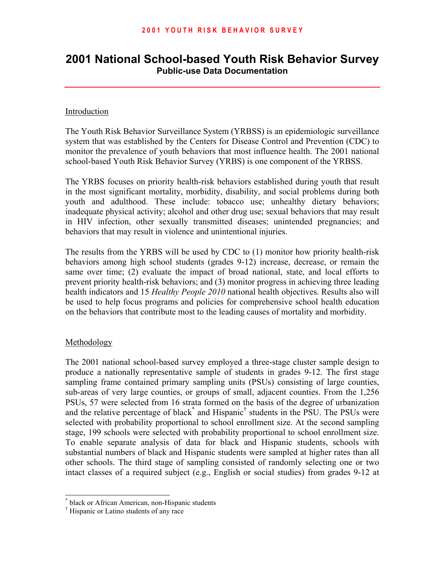# **2001 National School-based Youth Risk Behavior Survey Public-use Data Documentation**

#### Introduction

The Youth Risk Behavior Surveillance System (YRBSS) is an epidemiologic surveillance system that was established by the Centers for Disease Control and Prevention (CDC) to monitor the prevalence of youth behaviors that most influence health. The 2001 national school-based Youth Risk Behavior Survey (YRBS) is one component of the YRBSS.

The YRBS focuses on priority health-risk behaviors established during youth that result in the most significant mortality, morbidity, disability, and social problems during both youth and adulthood. These include: tobacco use; unhealthy dietary behaviors; inadequate physical activity; alcohol and other drug use; sexual behaviors that may result in HIV infection, other sexually transmitted diseases; unintended pregnancies; and behaviors that may result in violence and unintentional injuries.

The results from the YRBS will be used by CDC to (1) monitor how priority health-risk behaviors among high school students (grades 9-12) increase, decrease, or remain the same over time; (2) evaluate the impact of broad national, state, and local efforts to prevent priority health-risk behaviors; and (3) monitor progress in achieving three leading health indicators and 15 *Healthy People 2010* national health objectives. Results also will be used to help focus programs and policies for comprehensive school health education on the behaviors that contribute most to the leading causes of mortality and morbidity.

#### Methodology

-

The 2001 national school-based survey employed a three-stage cluster sample design to produce a nationally representative sample of students in grades 9-12. The first stage sampling frame contained primary sampling units (PSUs) consisting of large counties, sub-areas of very large counties, or groups of small, adjacent counties. From the 1,256 PSUs, 57 were selected from 16 strata formed on the basis of the degree of urbanization and the relative percentage of black<sup>\*</sup> and Hispanic<sup>†</sup> students in the PSU. The PSUs were selected with probability proportional to school enrollment size. At the second sampling stage, 199 schools were selected with probability proportional to school enrollment size. To enable separate analysis of data for black and Hispanic students, schools with substantial numbers of black and Hispanic students were sampled at higher rates than all other schools. The third stage of sampling consisted of randomly selecting one or two intact classes of a required subject (e.g., English or social studies) from grades 9-12 at

<span id="page-0-0"></span><sup>\*</sup> black or African American, non-Hispanic students

<span id="page-0-1"></span><sup>†</sup> Hispanic or Latino students of any race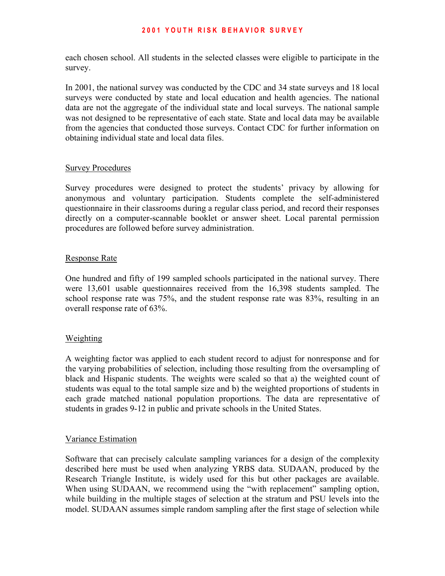#### **2 0 0 1 Y O U T H R I S K B E H A V I O R S U R V E Y**

each chosen school. All students in the selected classes were eligible to participate in the survey.

In 2001, the national survey was conducted by the CDC and 34 state surveys and 18 local surveys were conducted by state and local education and health agencies. The national data are not the aggregate of the individual state and local surveys. The national sample was not designed to be representative of each state. State and local data may be available from the agencies that conducted those surveys. Contact CDC for further information on obtaining individual state and local data files.

#### Survey Procedures

Survey procedures were designed to protect the students' privacy by allowing for anonymous and voluntary participation. Students complete the self-administered questionnaire in their classrooms during a regular class period, and record their responses directly on a computer-scannable booklet or answer sheet. Local parental permission procedures are followed before survey administration.

#### Response Rate

One hundred and fifty of 199 sampled schools participated in the national survey. There were 13,601 usable questionnaires received from the 16,398 students sampled. The school response rate was 75%, and the student response rate was 83%, resulting in an overall response rate of 63%.

#### Weighting

A weighting factor was applied to each student record to adjust for nonresponse and for the varying probabilities of selection, including those resulting from the oversampling of black and Hispanic students. The weights were scaled so that a) the weighted count of students was equal to the total sample size and b) the weighted proportions of students in each grade matched national population proportions. The data are representative of students in grades 9-12 in public and private schools in the United States.

#### Variance Estimation

Software that can precisely calculate sampling variances for a design of the complexity described here must be used when analyzing YRBS data. SUDAAN, produced by the Research Triangle Institute, is widely used for this but other packages are available. When using SUDAAN, we recommend using the "with replacement" sampling option, while building in the multiple stages of selection at the stratum and PSU levels into the model. SUDAAN assumes simple random sampling after the first stage of selection while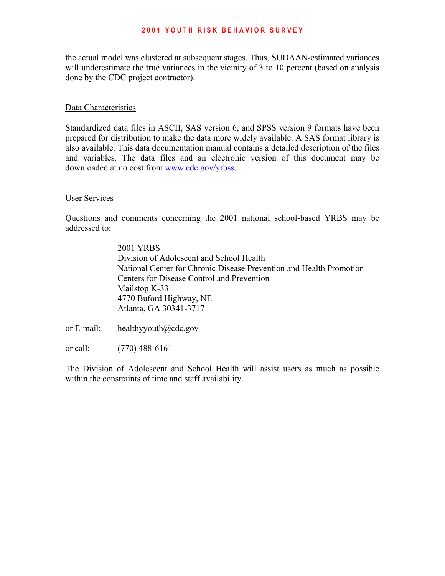#### **2 0 0 1 Y O U T H R I S K B E H A V I O R S U R V E Y**

the actual model was clustered at subsequent stages. Thus, SUDAAN-estimated variances will underestimate the true variances in the vicinity of 3 to 10 percent (based on analysis done by the CDC project contractor).

#### Data Characteristics

Standardized data files in ASCII, SAS version 6, and SPSS version 9 formats have been prepared for distribution to make the data more widely available. A SAS format library is also available. This data documentation manual contains a detailed description of the files and variables. The data files and an electronic version of this document may be downloaded at no cost from<www.cdc.gov/yrbss>.

#### User Services

Questions and comments concerning the 2001 national school-based YRBS may be addressed to:

> 2001 YRBS Division of Adolescent and School Health National Center for Chronic Disease Prevention and Health Promotion Centers for Disease Control and Prevention Mailstop K-33 4770 Buford Highway, NE Atlanta, GA 30341-3717

or E-mail: healthyyouth@cdc.gov

or call: (770) 488-6161

The Division of Adolescent and School Health will assist users as much as possible within the constraints of time and staff availability.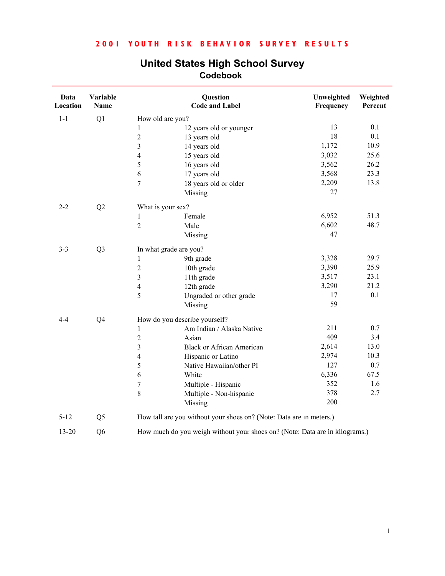| Data<br>Location | Variable<br>Name |                  | Question<br><b>Code and Label</b>                                           | Unweighted<br>Frequency | Weighted<br>Percent |
|------------------|------------------|------------------|-----------------------------------------------------------------------------|-------------------------|---------------------|
| $1-1$            | Q1               |                  | How old are you?                                                            |                         |                     |
|                  |                  | $\mathbf{1}$     | 12 years old or younger                                                     | 13                      | 0.1                 |
|                  |                  | $\overline{2}$   | 13 years old                                                                | 18                      | 0.1                 |
|                  |                  | $\overline{3}$   | 14 years old                                                                | 1,172                   | 10.9                |
|                  |                  | $\overline{4}$   | 15 years old                                                                | 3,032                   | 25.6                |
|                  |                  | 5                | 16 years old                                                                | 3,562                   | 26.2                |
|                  |                  | 6                | 17 years old                                                                | 3,568                   | 23.3                |
|                  |                  | $\overline{7}$   | 18 years old or older                                                       | 2,209                   | 13.8                |
|                  |                  |                  | Missing                                                                     | 27                      |                     |
| $2 - 2$          | Q2               |                  | What is your sex?                                                           |                         |                     |
|                  |                  | 1                | Female                                                                      | 6,952                   | 51.3                |
|                  |                  | $\overline{2}$   | Male                                                                        | 6,602                   | 48.7                |
|                  |                  |                  | Missing                                                                     | 47                      |                     |
| $3 - 3$          | Q <sub>3</sub>   |                  | In what grade are you?                                                      |                         |                     |
|                  |                  | $\mathbf{1}$     | 9th grade                                                                   | 3,328                   | 29.7                |
|                  |                  | $\sqrt{2}$       | 10th grade                                                                  | 3,390                   | 25.9                |
|                  |                  | $\overline{3}$   | 11th grade                                                                  | 3,517                   | 23.1                |
|                  |                  | $\overline{4}$   | 12th grade                                                                  | 3,290                   | 21.2                |
|                  |                  | 5                | Ungraded or other grade                                                     | 17                      | 0.1                 |
|                  |                  |                  | Missing                                                                     | 59                      |                     |
| $4 - 4$          | Q <sub>4</sub>   |                  | How do you describe yourself?                                               |                         |                     |
|                  |                  | $\mathbf{1}$     | Am Indian / Alaska Native                                                   | 211                     | 0.7                 |
|                  |                  | $\sqrt{2}$       | Asian                                                                       | 409                     | 3.4                 |
|                  |                  | $\overline{3}$   | <b>Black or African American</b>                                            | 2,614                   | 13.0                |
|                  |                  | $\overline{4}$   | Hispanic or Latino                                                          | 2,974                   | 10.3                |
|                  |                  | 5                | Native Hawaiian/other PI                                                    | 127                     | 0.7                 |
|                  |                  | 6                | White                                                                       | 6,336                   | 67.5                |
|                  |                  | $\boldsymbol{7}$ | Multiple - Hispanic                                                         | 352                     | 1.6                 |
|                  |                  | $\,8\,$          | Multiple - Non-hispanic                                                     | 378                     | 2.7                 |
|                  |                  |                  | Missing                                                                     | 200                     |                     |
| $5 - 12$         | Q <sub>5</sub>   |                  | How tall are you without your shoes on? (Note: Data are in meters.)         |                         |                     |
| $13 - 20$        | Q <sub>6</sub>   |                  | How much do you weigh without your shoes on? (Note: Data are in kilograms.) |                         |                     |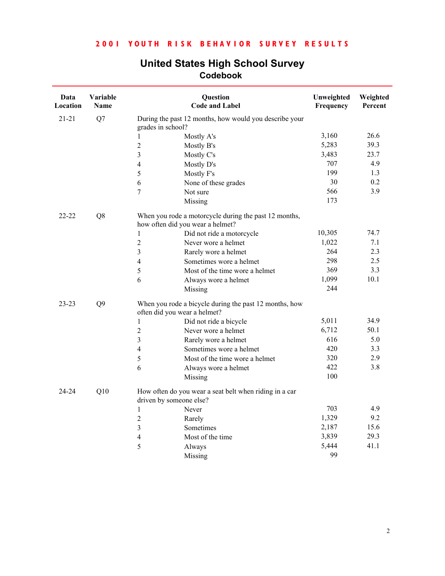| Data<br>Location | Variable<br>Name |                                  | Question<br><b>Code and Label</b>                      | Unweighted<br>Frequency | Weighted<br>Percent |
|------------------|------------------|----------------------------------|--------------------------------------------------------|-------------------------|---------------------|
| $21 - 21$        | Q7               |                                  | During the past 12 months, how would you describe your |                         |                     |
|                  |                  | grades in school?                |                                                        |                         |                     |
|                  |                  | 1                                | Mostly A's                                             | 3,160                   | 26.6<br>39.3        |
|                  |                  | $\overline{2}$                   | Mostly B's                                             | 5,283                   |                     |
|                  |                  | 3                                | Mostly C's                                             | 3,483                   | 23.7                |
|                  |                  | $\overline{4}$                   | Mostly D's                                             | 707                     | 4.9                 |
|                  |                  | 5                                | Mostly F's                                             | 199                     | 1.3                 |
|                  |                  | 6                                | None of these grades                                   | 30                      | 0.2                 |
|                  |                  | 7                                | Not sure                                               | 566                     | 3.9                 |
|                  |                  |                                  | Missing                                                | 173                     |                     |
| $22 - 22$        | Q8               | how often did you wear a helmet? | When you rode a motorcycle during the past 12 months,  |                         |                     |
|                  |                  | 1                                | Did not ride a motorcycle                              | 10,305                  | 74.7                |
|                  |                  | $\overline{2}$                   | Never wore a helmet                                    | 1,022                   | 7.1                 |
|                  |                  | 3                                | Rarely wore a helmet                                   | 264                     | 2.3                 |
|                  |                  | $\overline{4}$                   | Sometimes wore a helmet                                | 298                     | 2.5                 |
|                  |                  | 5                                | Most of the time wore a helmet                         | 369                     | 3.3                 |
|                  |                  | 6                                | Always wore a helmet                                   | 1,099                   | 10.1                |
|                  |                  |                                  | Missing                                                | 244                     |                     |
| $23 - 23$        | Q <sub>9</sub>   | often did you wear a helmet?     | When you rode a bicycle during the past 12 months, how |                         |                     |
|                  |                  | $\mathbf{1}$                     | Did not ride a bicycle                                 | 5,011                   | 34.9                |
|                  |                  | $\sqrt{2}$                       | Never wore a helmet                                    | 6,712                   | 50.1                |
|                  |                  | 3                                | Rarely wore a helmet                                   | 616                     | 5.0                 |
|                  |                  | $\overline{4}$                   | Sometimes wore a helmet                                | 420                     | 3.3                 |
|                  |                  | $\mathfrak{S}$                   | Most of the time wore a helmet                         | 320                     | 2.9                 |
|                  |                  | 6                                | Always wore a helmet                                   | 422                     | 3.8                 |
|                  |                  |                                  | Missing                                                | 100                     |                     |
| 24-24            | Q10              |                                  | How often do you wear a seat belt when riding in a car |                         |                     |
|                  |                  | driven by someone else?          |                                                        |                         |                     |
|                  |                  | $\mathbf{1}$                     | Never                                                  | 703                     | 4.9                 |
|                  |                  | $\overline{2}$                   | Rarely                                                 | 1,329                   | 9.2                 |
|                  |                  | 3                                | Sometimes                                              | 2,187                   | 15.6                |
|                  |                  | $\overline{4}$                   | Most of the time                                       | 3,839                   | 29.3                |
|                  |                  | 5                                | Always                                                 | 5,444                   | 41.1                |
|                  |                  |                                  | Missing                                                | 99                      |                     |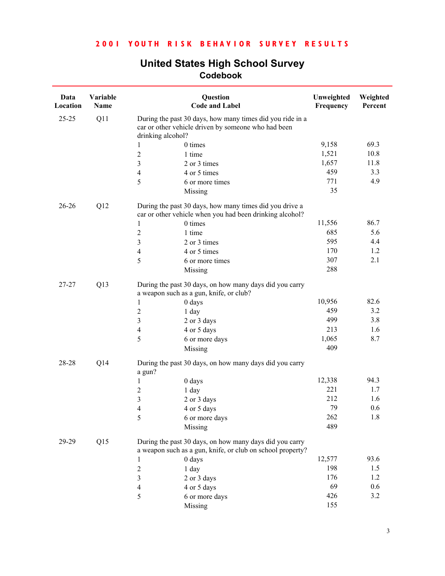| Data<br>Location | Variable<br>Name |                                                                                                                                       | Question<br><b>Code and Label</b>                                                                                     | Unweighted<br>Frequency | Weighted<br>Percent |
|------------------|------------------|---------------------------------------------------------------------------------------------------------------------------------------|-----------------------------------------------------------------------------------------------------------------------|-------------------------|---------------------|
| $25 - 25$        | Q11              | During the past 30 days, how many times did you ride in a<br>car or other vehicle driven by someone who had been<br>drinking alcohol? |                                                                                                                       |                         |                     |
|                  |                  | 0 times<br>1                                                                                                                          |                                                                                                                       | 9,158                   | 69.3                |
|                  |                  | $\overline{c}$<br>1 time                                                                                                              |                                                                                                                       | 1,521                   | 10.8                |
|                  |                  | 3                                                                                                                                     | 2 or 3 times                                                                                                          | 1,657                   | 11.8                |
|                  |                  | 4                                                                                                                                     | 4 or 5 times                                                                                                          | 459                     | 3.3                 |
|                  |                  | 5                                                                                                                                     | 6 or more times                                                                                                       | 771                     | 4.9                 |
|                  |                  | Missing                                                                                                                               |                                                                                                                       | 35                      |                     |
| $26 - 26$        | Q12              |                                                                                                                                       | During the past 30 days, how many times did you drive a<br>car or other vehicle when you had been drinking alcohol?   |                         |                     |
|                  |                  | 0 times<br>1                                                                                                                          |                                                                                                                       | 11,556                  | 86.7                |
|                  |                  | $\overline{c}$<br>1 time                                                                                                              |                                                                                                                       | 685                     | 5.6                 |
|                  |                  | 3                                                                                                                                     | 2 or 3 times                                                                                                          | 595                     | 4.4                 |
|                  |                  | 4                                                                                                                                     | 4 or 5 times                                                                                                          | 170                     | 1.2                 |
|                  |                  | 5                                                                                                                                     | 6 or more times                                                                                                       | 307                     | 2.1                 |
|                  |                  | Missing                                                                                                                               |                                                                                                                       | 288                     |                     |
| 27-27            | Q13              | a weapon such as a gun, knife, or club?                                                                                               | During the past 30 days, on how many days did you carry                                                               |                         |                     |
|                  |                  | 0 days<br>1                                                                                                                           |                                                                                                                       | 10,956                  | 82.6                |
|                  |                  | $\overline{c}$<br>1 day                                                                                                               |                                                                                                                       | 459                     | 3.2                 |
|                  |                  | 3                                                                                                                                     | 2 or 3 days                                                                                                           | 499                     | 3.8                 |
|                  |                  | 4                                                                                                                                     | 4 or 5 days                                                                                                           | 213                     | 1.6                 |
|                  |                  | 5                                                                                                                                     | 6 or more days                                                                                                        | 1,065                   | 8.7                 |
|                  |                  | Missing                                                                                                                               |                                                                                                                       | 409                     |                     |
| 28-28            | Q14              | a gun?                                                                                                                                | During the past 30 days, on how many days did you carry                                                               |                         |                     |
|                  |                  | 0 days<br>1                                                                                                                           |                                                                                                                       | 12,338                  | 94.3                |
|                  |                  | $\overline{c}$<br>$1$ day                                                                                                             |                                                                                                                       | 221                     | 1.7                 |
|                  |                  | 3                                                                                                                                     | 2 or 3 days                                                                                                           | 212                     | 1.6                 |
|                  |                  | 4                                                                                                                                     | 4 or 5 days                                                                                                           | 79                      | 0.6                 |
|                  |                  | 5                                                                                                                                     | 6 or more days                                                                                                        | 262                     | 1.8                 |
|                  |                  | Missing                                                                                                                               |                                                                                                                       | 489                     |                     |
| 29-29            | Q15              |                                                                                                                                       | During the past 30 days, on how many days did you carry<br>a weapon such as a gun, knife, or club on school property? |                         |                     |
|                  |                  | 0 days<br>1                                                                                                                           |                                                                                                                       | 12,577                  | 93.6                |
|                  |                  | 2<br>1 day                                                                                                                            |                                                                                                                       | 198                     | 1.5                 |
|                  |                  | 3                                                                                                                                     | 2 or 3 days                                                                                                           | 176                     | 1.2                 |
|                  |                  | 4                                                                                                                                     | 4 or 5 days                                                                                                           | 69                      | 0.6                 |
|                  |                  | 5                                                                                                                                     | 6 or more days                                                                                                        | 426                     | 3.2                 |
|                  |                  | Missing                                                                                                                               |                                                                                                                       | 155                     |                     |
|                  |                  |                                                                                                                                       |                                                                                                                       |                         |                     |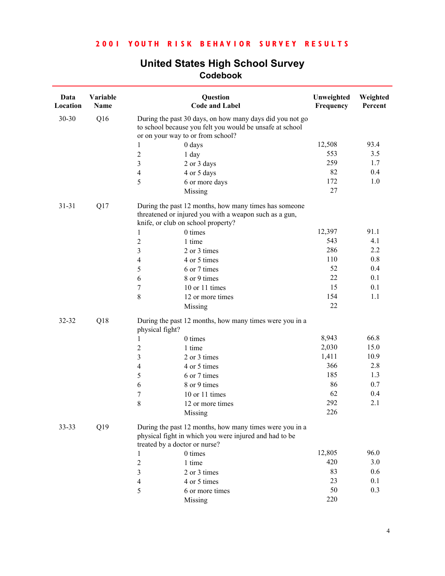| Data<br>Location | Variable<br>Name |                                                                                                                                                           | Question<br><b>Code and Label</b>                                                                                 | Unweighted<br>Frequency | Weighted<br>Percent |
|------------------|------------------|-----------------------------------------------------------------------------------------------------------------------------------------------------------|-------------------------------------------------------------------------------------------------------------------|-------------------------|---------------------|
| 30-30            | Q16              | During the past 30 days, on how many days did you not go<br>to school because you felt you would be unsafe at school<br>or on your way to or from school? |                                                                                                                   |                         |                     |
|                  |                  | $0$ days<br>1                                                                                                                                             |                                                                                                                   | 12,508                  | 93.4                |
|                  |                  | $\overline{\mathbf{c}}$<br>1 day                                                                                                                          |                                                                                                                   | 553                     | 3.5                 |
|                  |                  | 3<br>2 or 3 days                                                                                                                                          |                                                                                                                   | 259                     | 1.7                 |
|                  |                  | 4 or 5 days<br>4                                                                                                                                          |                                                                                                                   | 82                      | 0.4                 |
|                  |                  | 5                                                                                                                                                         | 6 or more days                                                                                                    | 172                     | 1.0                 |
|                  |                  | Missing                                                                                                                                                   |                                                                                                                   | 27                      |                     |
| $31 - 31$        | Q17              | knife, or club on school property?                                                                                                                        | During the past 12 months, how many times has someone<br>threatened or injured you with a weapon such as a gun,   |                         |                     |
|                  |                  | 0 times<br>1                                                                                                                                              |                                                                                                                   | 12,397                  | 91.1                |
|                  |                  | $\overline{c}$<br>1 time                                                                                                                                  |                                                                                                                   | 543                     | 4.1                 |
|                  |                  | 3<br>2 or 3 times                                                                                                                                         |                                                                                                                   | 286                     | 2.2                 |
|                  |                  | 4 or 5 times<br>4                                                                                                                                         |                                                                                                                   | 110                     | 0.8                 |
|                  |                  | 5<br>6 or 7 times                                                                                                                                         |                                                                                                                   | 52                      | 0.4                 |
|                  |                  | 8 or 9 times<br>6                                                                                                                                         |                                                                                                                   | 22                      | 0.1                 |
|                  |                  | 7                                                                                                                                                         | 10 or 11 times                                                                                                    | 15                      | 0.1                 |
|                  |                  | 8                                                                                                                                                         | 12 or more times                                                                                                  | 154                     | 1.1                 |
|                  |                  | Missing                                                                                                                                                   |                                                                                                                   | 22                      |                     |
| 32-32            | Q18              | physical fight?                                                                                                                                           | During the past 12 months, how many times were you in a                                                           |                         |                     |
|                  |                  | 0 times<br>1                                                                                                                                              |                                                                                                                   | 8,943                   | 66.8                |
|                  |                  | $\overline{c}$<br>1 time                                                                                                                                  |                                                                                                                   | 2,030                   | 15.0                |
|                  |                  | 3<br>2 or 3 times                                                                                                                                         |                                                                                                                   | 1,411                   | 10.9                |
|                  |                  | $\overline{\mathcal{L}}$<br>4 or 5 times                                                                                                                  |                                                                                                                   | 366                     | 2.8                 |
|                  |                  | 6 or 7 times<br>5                                                                                                                                         |                                                                                                                   | 185                     | 1.3                 |
|                  |                  | 6<br>8 or 9 times                                                                                                                                         |                                                                                                                   | 86                      | 0.7                 |
|                  |                  | 7                                                                                                                                                         | 10 or 11 times                                                                                                    | 62                      | 0.4                 |
|                  |                  | 8                                                                                                                                                         | 12 or more times                                                                                                  | 292                     | 2.1                 |
|                  |                  | Missing                                                                                                                                                   |                                                                                                                   | 226                     |                     |
| $33 - 33$        | Q19              |                                                                                                                                                           | During the past 12 months, how many times were you in a<br>physical fight in which you were injured and had to be |                         |                     |
|                  |                  | treated by a doctor or nurse?<br>0 times<br>1                                                                                                             |                                                                                                                   | 12,805                  | 96.0                |
|                  |                  | $\overline{c}$<br>1 time                                                                                                                                  |                                                                                                                   | 420                     | 3.0                 |
|                  |                  | 3<br>2 or 3 times                                                                                                                                         |                                                                                                                   | 83                      | 0.6                 |
|                  |                  | 4 or 5 times<br>$\overline{\mathcal{L}}$                                                                                                                  |                                                                                                                   | 23                      | 0.1                 |
|                  |                  | 5                                                                                                                                                         | 6 or more times                                                                                                   | 50                      | 0.3                 |
|                  |                  | Missing                                                                                                                                                   |                                                                                                                   | 220                     |                     |
|                  |                  |                                                                                                                                                           |                                                                                                                   |                         |                     |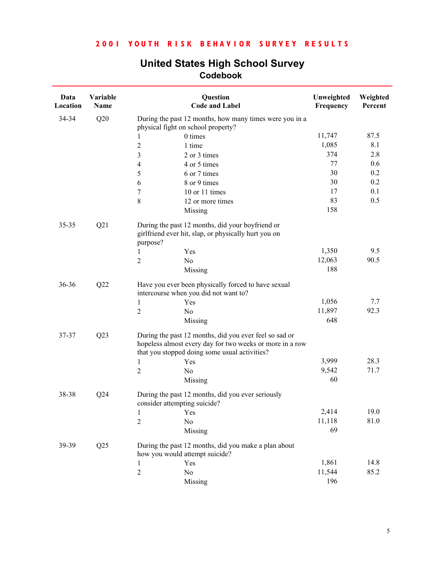| Data<br>Location | Variable<br>Name | Question<br><b>Code and Label</b>                                                                                                                                   | Unweighted<br>Frequency | Weighted<br>Percent |
|------------------|------------------|---------------------------------------------------------------------------------------------------------------------------------------------------------------------|-------------------------|---------------------|
| 34-34            | Q20              | During the past 12 months, how many times were you in a<br>physical fight on school property?                                                                       |                         |                     |
|                  |                  | 0 times<br>1                                                                                                                                                        | 11,747                  | 87.5                |
|                  |                  | $\boldsymbol{2}$<br>1 time                                                                                                                                          | 1,085                   | 8.1                 |
|                  |                  | 3<br>2 or 3 times                                                                                                                                                   | 374                     | 2.8                 |
|                  |                  | $\overline{4}$<br>4 or 5 times                                                                                                                                      | 77                      | 0.6                 |
|                  |                  | 5<br>6 or 7 times                                                                                                                                                   | 30                      | 0.2                 |
|                  |                  | 8 or 9 times<br>6                                                                                                                                                   | 30                      | 0.2                 |
|                  |                  | 7<br>10 or 11 times                                                                                                                                                 | 17                      | 0.1                 |
|                  |                  | $\,8\,$<br>12 or more times                                                                                                                                         | 83                      | 0.5                 |
|                  |                  | Missing                                                                                                                                                             | 158                     |                     |
| 35-35            | Q21              | During the past 12 months, did your boyfriend or<br>girlfriend ever hit, slap, or physically hurt you on<br>purpose?                                                |                         |                     |
|                  |                  | Yes                                                                                                                                                                 | 1,350                   | 9.5                 |
|                  |                  | $\overline{2}$<br>N <sub>o</sub>                                                                                                                                    | 12,063                  | 90.5                |
|                  |                  | Missing                                                                                                                                                             | 188                     |                     |
| 36-36            | Q22              | Have you ever been physically forced to have sexual<br>intercourse when you did not want to?                                                                        |                         |                     |
|                  |                  | 1<br>Yes                                                                                                                                                            | 1,056                   | 7.7                 |
|                  |                  | $\sqrt{2}$<br>No                                                                                                                                                    | 11,897                  | 92.3                |
|                  |                  | Missing                                                                                                                                                             | 648                     |                     |
| 37-37            | Q23              | During the past 12 months, did you ever feel so sad or<br>hopeless almost every day for two weeks or more in a row<br>that you stopped doing some usual activities? |                         |                     |
|                  |                  | 1<br>Yes                                                                                                                                                            | 3,999                   | 28.3                |
|                  |                  | $\overline{2}$<br>N <sub>o</sub>                                                                                                                                    | 9,542                   | 71.7                |
|                  |                  | Missing                                                                                                                                                             | 60                      |                     |
| 38-38            | Q24              | During the past 12 months, did you ever seriously<br>consider attempting suicide?                                                                                   |                         |                     |
|                  |                  | Yes<br>$\mathbf{1}$                                                                                                                                                 | 2,414                   | 19.0                |
|                  |                  | $\overline{2}$<br>No                                                                                                                                                | 11,118                  | 81.0                |
|                  |                  | Missing                                                                                                                                                             | 69                      |                     |
| 39-39            | Q25              | During the past 12 months, did you make a plan about<br>how you would attempt suicide?                                                                              |                         |                     |
|                  |                  | Yes<br>1                                                                                                                                                            | 1,861                   | 14.8                |
|                  |                  | $\sqrt{2}$<br>No                                                                                                                                                    | 11,544                  | 85.2                |
|                  |                  | Missing                                                                                                                                                             | 196                     |                     |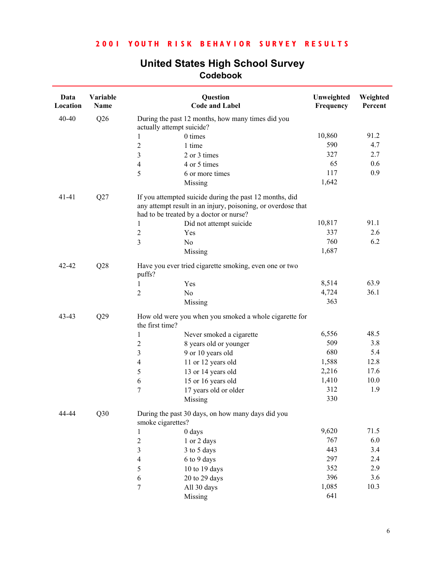| <b>United States High School Survey</b> |  |  |  |  |  |
|-----------------------------------------|--|--|--|--|--|
| Codebook                                |  |  |  |  |  |

| Data<br>Location | Variable<br>Name |                                         | Question<br><b>Code and Label</b>                                                                                       | Unweighted<br>Frequency | Weighted<br>Percent |
|------------------|------------------|-----------------------------------------|-------------------------------------------------------------------------------------------------------------------------|-------------------------|---------------------|
| $40 - 40$        | Q26              | actually attempt suicide?               | During the past 12 months, how many times did you                                                                       |                         |                     |
|                  |                  | 0 times<br>1                            |                                                                                                                         | 10,860                  | 91.2                |
|                  |                  | $\overline{c}$<br>1 time                |                                                                                                                         | 590                     | 4.7                 |
|                  |                  | 3<br>2 or 3 times                       |                                                                                                                         | 327                     | 2.7                 |
|                  |                  | 4 or 5 times<br>4                       |                                                                                                                         | 65                      | 0.6                 |
|                  |                  | 5                                       | 6 or more times                                                                                                         | 117                     | 0.9                 |
|                  |                  | Missing                                 |                                                                                                                         | 1,642                   |                     |
| $41 - 41$        | Q27              | had to be treated by a doctor or nurse? | If you attempted suicide during the past 12 months, did<br>any attempt result in an injury, poisoning, or overdose that |                         |                     |
|                  |                  | 1                                       | Did not attempt suicide                                                                                                 | 10,817                  | 91.1                |
|                  |                  | 2<br>Yes                                |                                                                                                                         | 337                     | 2.6                 |
|                  |                  | 3<br>N <sub>o</sub>                     |                                                                                                                         | 760                     | 6.2                 |
|                  |                  | Missing                                 |                                                                                                                         | 1,687                   |                     |
| $42 - 42$        | Q28              | puffs?                                  | Have you ever tried cigarette smoking, even one or two                                                                  |                         |                     |
|                  |                  | Yes<br>1                                |                                                                                                                         | 8,514                   | 63.9                |
|                  |                  | $\overline{c}$<br>N <sub>o</sub>        |                                                                                                                         | 4,724                   | 36.1                |
|                  |                  | Missing                                 |                                                                                                                         | 363                     |                     |
| 43-43            | Q29              | the first time?                         | How old were you when you smoked a whole cigarette for                                                                  |                         |                     |
|                  |                  | 1                                       | Never smoked a cigarette                                                                                                | 6,556                   | 48.5                |
|                  |                  | $\overline{\mathbf{c}}$                 | 8 years old or younger                                                                                                  | 509                     | 3.8                 |
|                  |                  | 3                                       | 9 or 10 years old                                                                                                       | 680                     | 5.4                 |
|                  |                  | $\overline{4}$                          | 11 or 12 years old                                                                                                      | 1,588                   | 12.8                |
|                  |                  | 5                                       | 13 or 14 years old                                                                                                      | 2,216                   | 17.6                |
|                  |                  | 6                                       | 15 or 16 years old                                                                                                      | 1,410                   | 10.0                |
|                  |                  | 7                                       | 17 years old or older                                                                                                   | 312                     | 1.9                 |
|                  |                  | Missing                                 |                                                                                                                         | 330                     |                     |
| 44-44            | Q30              | smoke cigarettes?                       | During the past 30 days, on how many days did you                                                                       |                         |                     |
|                  |                  | $0$ days<br>1                           |                                                                                                                         | 9,620                   | 71.5                |
|                  |                  | $\overline{c}$<br>1 or 2 days           |                                                                                                                         | 767                     | 6.0                 |
|                  |                  | $\overline{\mathbf{3}}$<br>3 to 5 days  |                                                                                                                         | 443                     | 3.4                 |
|                  |                  | 6 to 9 days<br>$\overline{\mathcal{A}}$ |                                                                                                                         | 297                     | 2.4                 |
|                  |                  | 5<br>10 to 19 days                      |                                                                                                                         | 352                     | 2.9                 |
|                  |                  | 6<br>20 to 29 days                      |                                                                                                                         | 396                     | 3.6                 |
|                  |                  | $\boldsymbol{7}$<br>All 30 days         |                                                                                                                         | 1,085                   | 10.3                |
|                  |                  | Missing                                 |                                                                                                                         | 641                     |                     |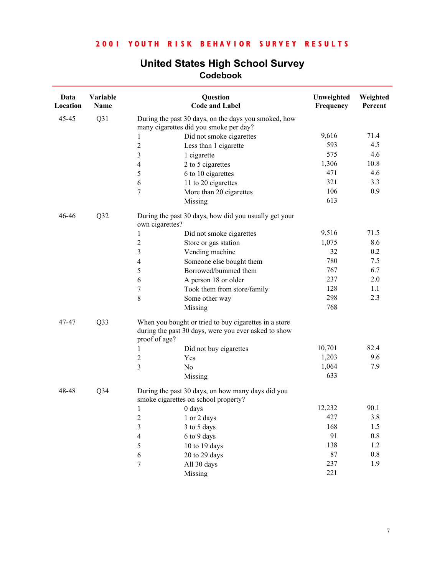| Data<br>Location | Variable<br>Name |                                           | Question<br><b>Code and Label</b>                                                                             | Unweighted<br>Frequency | Weighted<br>Percent |
|------------------|------------------|-------------------------------------------|---------------------------------------------------------------------------------------------------------------|-------------------------|---------------------|
| 45-45            | Q31              |                                           | During the past 30 days, on the days you smoked, how<br>many cigarettes did you smoke per day?                |                         |                     |
|                  |                  | $\mathbf{1}$                              | Did not smoke cigarettes                                                                                      | 9,616                   | 71.4                |
|                  |                  | $\overline{c}$                            | Less than 1 cigarette                                                                                         | 593                     | 4.5                 |
|                  |                  | 3                                         | 1 cigarette                                                                                                   | 575                     | 4.6                 |
|                  |                  | $\overline{4}$                            | 2 to 5 cigarettes                                                                                             | 1,306                   | 10.8                |
|                  |                  | 5                                         | 6 to 10 cigarettes                                                                                            | 471                     | 4.6                 |
|                  |                  | 6                                         | 11 to 20 cigarettes                                                                                           | 321                     | 3.3                 |
|                  |                  | 7                                         | More than 20 cigarettes                                                                                       | 106                     | 0.9                 |
|                  |                  |                                           | Missing                                                                                                       | 613                     |                     |
| 46-46            | Q32              | own cigarettes?                           | During the past 30 days, how did you usually get your                                                         |                         |                     |
|                  |                  | $\mathbf{1}$                              | Did not smoke cigarettes                                                                                      | 9,516                   | 71.5                |
|                  |                  | $\overline{c}$                            | Store or gas station                                                                                          | 1,075                   | 8.6                 |
|                  |                  | $\overline{\mathbf{3}}$                   | Vending machine                                                                                               | 32                      | 0.2                 |
|                  |                  | $\overline{4}$                            | Someone else bought them                                                                                      | 780                     | 7.5                 |
|                  |                  | 5                                         | Borrowed/bummed them                                                                                          | 767                     | 6.7                 |
|                  |                  | 6                                         | A person 18 or older                                                                                          | 237                     | 2.0                 |
|                  |                  | $\sqrt{ }$                                | Took them from store/family                                                                                   | 128                     | 1.1                 |
|                  |                  | 8                                         | Some other way                                                                                                | 298                     | 2.3                 |
|                  |                  |                                           | Missing                                                                                                       | 768                     |                     |
| 47-47            | Q33              | proof of age?                             | When you bought or tried to buy cigarettes in a store<br>during the past 30 days, were you ever asked to show |                         |                     |
|                  |                  | 1                                         | Did not buy cigarettes                                                                                        | 10,701                  | 82.4                |
|                  |                  | $\boldsymbol{2}$                          | Yes                                                                                                           | 1,203                   | 9.6                 |
|                  |                  | $\overline{\mathbf{3}}$<br>N <sub>o</sub> |                                                                                                               | 1,064                   | 7.9                 |
|                  |                  |                                           | Missing                                                                                                       | 633                     |                     |
| 48-48            | Q <sub>34</sub>  |                                           | During the past 30 days, on how many days did you<br>smoke cigarettes on school property?                     |                         |                     |
|                  |                  | $1$ 0 days                                |                                                                                                               | 12,232                  | 90.1                |
|                  |                  | $\overline{c}$                            | 1 or 2 days                                                                                                   | 427                     | 3.8                 |
|                  |                  | $\overline{\mathbf{3}}$                   | 3 to 5 days                                                                                                   | 168                     | 1.5                 |
|                  |                  | 4                                         | 6 to 9 days                                                                                                   | 91                      | $0.8\,$             |
|                  |                  | 5                                         | 10 to 19 days                                                                                                 | 138                     | 1.2                 |
|                  |                  | 6                                         | 20 to 29 days                                                                                                 | $87\,$                  | $0.8\,$             |
|                  |                  | 7                                         | All 30 days                                                                                                   | 237                     | 1.9                 |
|                  |                  |                                           | Missing                                                                                                       | 221                     |                     |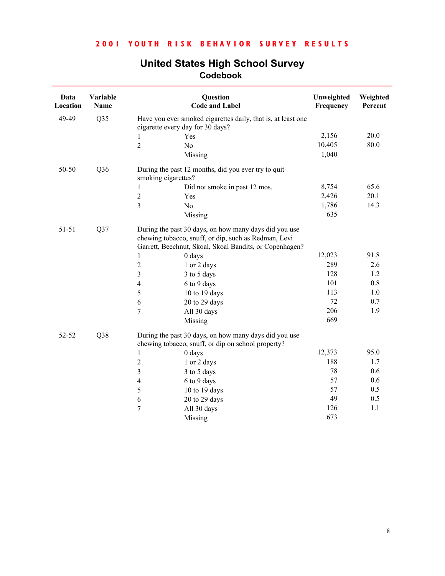| Data<br>Location | Variable<br><b>Name</b> |                                  | Question<br><b>Code and Label</b>                                                                                                                                        | Unweighted<br>Frequency | Weighted<br>Percent |
|------------------|-------------------------|----------------------------------|--------------------------------------------------------------------------------------------------------------------------------------------------------------------------|-------------------------|---------------------|
| 49-49            | Q35                     | cigarette every day for 30 days? | Have you ever smoked cigarettes daily, that is, at least one                                                                                                             |                         |                     |
|                  |                         | Yes<br>1                         |                                                                                                                                                                          | 2,156                   | 20.0                |
|                  |                         | $\overline{2}$<br>N <sub>0</sub> |                                                                                                                                                                          | 10,405                  | 80.0                |
|                  |                         |                                  | Missing                                                                                                                                                                  | 1,040                   |                     |
| 50-50            | Q36                     | smoking cigarettes?              | During the past 12 months, did you ever try to quit                                                                                                                      |                         |                     |
|                  |                         | 1                                | Did not smoke in past 12 mos.                                                                                                                                            | 8,754                   | 65.6                |
|                  |                         | $\boldsymbol{2}$<br>Yes          |                                                                                                                                                                          | 2,426                   | 20.1                |
|                  |                         | 3<br>N <sub>0</sub>              |                                                                                                                                                                          | 1,786                   | 14.3                |
|                  |                         |                                  | Missing                                                                                                                                                                  | 635                     |                     |
| $51 - 51$        | Q37                     |                                  | During the past 30 days, on how many days did you use<br>chewing tobacco, snuff, or dip, such as Redman, Levi<br>Garrett, Beechnut, Skoal, Skoal Bandits, or Copenhagen? |                         |                     |
|                  |                         | 1                                | 0 days                                                                                                                                                                   | 12,023                  | 91.8                |
|                  |                         | $\boldsymbol{2}$                 | 1 or 2 days                                                                                                                                                              | 289                     | 2.6                 |
|                  |                         | 3                                | 3 to 5 days                                                                                                                                                              | 128                     | 1.2                 |
|                  |                         | $\overline{4}$                   | 6 to 9 days                                                                                                                                                              | 101                     | 0.8                 |
|                  |                         | 5                                | 10 to 19 days                                                                                                                                                            | 113                     | 1.0                 |
|                  |                         | 6                                | 20 to 29 days                                                                                                                                                            | 72                      | 0.7                 |
|                  |                         | 7                                | All 30 days                                                                                                                                                              | 206                     | 1.9                 |
|                  |                         |                                  | Missing                                                                                                                                                                  | 669                     |                     |
| 52-52            | Q38                     |                                  | During the past 30 days, on how many days did you use<br>chewing tobacco, snuff, or dip on school property?                                                              |                         |                     |
|                  |                         | $0$ days<br>1                    |                                                                                                                                                                          | 12,373                  | 95.0                |
|                  |                         | $\overline{2}$                   | 1 or 2 days                                                                                                                                                              | 188                     | 1.7                 |
|                  |                         | 3                                | 3 to 5 days                                                                                                                                                              | 78                      | 0.6                 |
|                  |                         | $\overline{4}$                   | 6 to 9 days                                                                                                                                                              | 57                      | 0.6                 |
|                  |                         | 5                                | 10 to 19 days                                                                                                                                                            | 57                      | 0.5                 |
|                  |                         | 6                                | 20 to 29 days                                                                                                                                                            | 49                      | 0.5                 |
|                  |                         | 7                                | All 30 days                                                                                                                                                              | 126                     | 1.1                 |
|                  |                         |                                  | Missing                                                                                                                                                                  | 673                     |                     |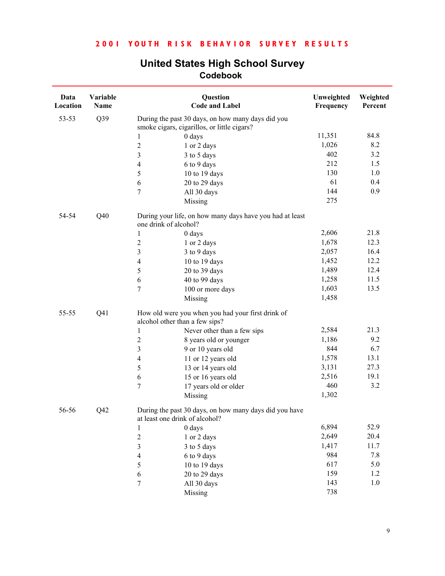| Data<br>Location | Variable<br>Name |                         | Question<br><b>Code and Label</b>                                                                | Unweighted<br>Frequency | Weighted<br>Percent |
|------------------|------------------|-------------------------|--------------------------------------------------------------------------------------------------|-------------------------|---------------------|
| 53-53            | Q39              |                         | During the past 30 days, on how many days did you<br>smoke cigars, cigarillos, or little cigars? |                         |                     |
|                  |                  | 1                       | 0 days                                                                                           | 11,351                  | 84.8                |
|                  |                  | $\overline{c}$          | 1 or 2 days                                                                                      | 1,026                   | 8.2                 |
|                  |                  | $\mathfrak{Z}$          | 3 to 5 days                                                                                      | 402                     | 3.2                 |
|                  |                  | $\overline{4}$          | 6 to 9 days                                                                                      | 212                     | 1.5                 |
|                  |                  | 5                       | 10 to 19 days                                                                                    | 130                     | 1.0                 |
|                  |                  | 6                       | 20 to 29 days                                                                                    | 61                      | 0.4                 |
|                  |                  | $\overline{7}$          | All 30 days                                                                                      | 144                     | 0.9                 |
|                  |                  |                         | Missing                                                                                          | 275                     |                     |
| 54-54            | Q40              | one drink of alcohol?   | During your life, on how many days have you had at least                                         |                         |                     |
|                  |                  | 1                       | 0 days                                                                                           | 2,606                   | 21.8                |
|                  |                  | $\overline{c}$          | 1 or 2 days                                                                                      | 1,678                   | 12.3                |
|                  |                  | $\overline{3}$          | 3 to 9 days                                                                                      | 2,057                   | 16.4                |
|                  |                  | $\overline{4}$          | 10 to 19 days                                                                                    | 1,452                   | 12.2                |
|                  |                  | 5                       | 20 to 39 days                                                                                    | 1,489                   | 12.4                |
|                  |                  | 6                       | 40 to 99 days                                                                                    | 1,258                   | 11.5                |
|                  |                  | $\tau$                  | 100 or more days                                                                                 | 1,603                   | 13.5                |
|                  |                  |                         | Missing                                                                                          | 1,458                   |                     |
| 55-55            | Q <sub>41</sub>  |                         | How old were you when you had your first drink of<br>alcohol other than a few sips?              |                         |                     |
|                  |                  | 1                       | Never other than a few sips                                                                      | 2,584                   | 21.3                |
|                  |                  | $\boldsymbol{2}$        | 8 years old or younger                                                                           | 1,186                   | 9.2                 |
|                  |                  | $\overline{\mathbf{3}}$ | 9 or 10 years old                                                                                | 844                     | 6.7                 |
|                  |                  | $\overline{4}$          | 11 or 12 years old                                                                               | 1,578                   | 13.1                |
|                  |                  | 5                       | 13 or 14 years old                                                                               | 3,131                   | 27.3                |
|                  |                  | 6                       | 15 or 16 years old                                                                               | 2,516                   | 19.1                |
|                  |                  | $\overline{7}$          | 17 years old or older                                                                            | 460                     | 3.2                 |
|                  |                  |                         | Missing                                                                                          | 1,302                   |                     |
| 56-56            | Q42              |                         | During the past 30 days, on how many days did you have<br>at least one drink of alcohol?         |                         |                     |
|                  |                  | 1                       | 0 days                                                                                           | 6,894                   | 52.9                |
|                  |                  | $\overline{\mathbf{c}}$ | 1 or 2 days                                                                                      | 2,649                   | 20.4                |
|                  |                  | 3                       | 3 to 5 days                                                                                      | 1,417                   | 11.7                |
|                  |                  | $\overline{4}$          | 6 to 9 days                                                                                      | 984                     | 7.8                 |
|                  |                  | 5                       | 10 to 19 days                                                                                    | 617                     | 5.0                 |
|                  |                  | $\sqrt{6}$              | 20 to 29 days                                                                                    | 159                     | 1.2                 |
|                  |                  | $\boldsymbol{7}$        | All 30 days                                                                                      | 143                     | $1.0\,$             |
|                  |                  |                         | Missing                                                                                          | 738                     |                     |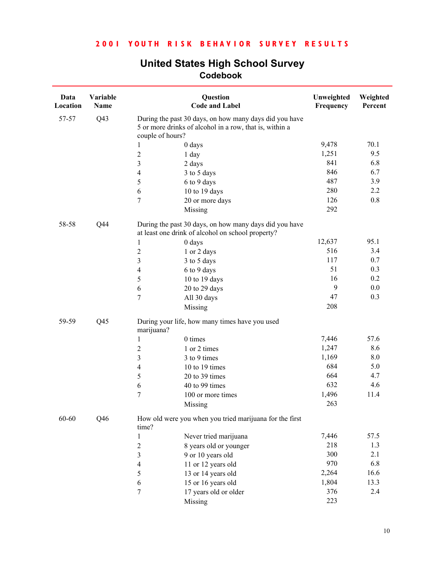| Data<br>Location | Variable<br><b>Name</b> |                  | Question<br><b>Code and Label</b>                                                                                 | Unweighted<br>Frequency | Weighted<br>Percent |
|------------------|-------------------------|------------------|-------------------------------------------------------------------------------------------------------------------|-------------------------|---------------------|
| 57-57            | Q <sub>43</sub>         | couple of hours? | During the past 30 days, on how many days did you have<br>5 or more drinks of alcohol in a row, that is, within a |                         |                     |
|                  |                         | 1                | $0$ days                                                                                                          | 9,478                   | 70.1                |
|                  |                         | $\overline{2}$   | 1 day                                                                                                             | 1,251                   | 9.5                 |
|                  |                         | $\mathfrak{Z}$   | 2 days                                                                                                            | 841                     | 6.8                 |
|                  |                         | $\overline{4}$   | 3 to 5 days                                                                                                       | 846                     | 6.7                 |
|                  |                         | 5                | 6 to 9 days                                                                                                       | 487                     | 3.9                 |
|                  |                         | 6                | 10 to 19 days                                                                                                     | 280                     | 2.2                 |
|                  |                         | $\tau$           | 20 or more days                                                                                                   | 126                     | $0.8\,$             |
|                  |                         |                  | Missing                                                                                                           | 292                     |                     |
| 58-58            | Q44                     |                  | During the past 30 days, on how many days did you have<br>at least one drink of alcohol on school property?       |                         |                     |
|                  |                         | 1                | $0$ days                                                                                                          | 12,637                  | 95.1                |
|                  |                         | $\boldsymbol{2}$ | 1 or 2 days                                                                                                       | 516                     | 3.4                 |
|                  |                         | $\mathfrak{Z}$   | 3 to 5 days                                                                                                       | 117                     | 0.7                 |
|                  |                         | 4                | 6 to 9 days                                                                                                       | 51                      | 0.3                 |
|                  |                         | $\sqrt{5}$       | 10 to 19 days                                                                                                     | 16                      | 0.2                 |
|                  |                         | 6                | 20 to 29 days                                                                                                     | 9                       | $0.0\,$             |
|                  |                         | $\overline{7}$   | All 30 days                                                                                                       | 47                      | 0.3                 |
|                  |                         |                  | Missing                                                                                                           | 208                     |                     |
| 59-59            | Q <sub>45</sub>         | marijuana?       | During your life, how many times have you used                                                                    |                         |                     |
|                  |                         | $\mathbf{1}$     | 0 times                                                                                                           | 7,446                   | 57.6                |
|                  |                         | $\overline{2}$   | 1 or 2 times                                                                                                      | 1,247                   | 8.6                 |
|                  |                         | $\mathfrak{Z}$   | 3 to 9 times                                                                                                      | 1,169                   | 8.0                 |
|                  |                         | $\overline{4}$   | 10 to 19 times                                                                                                    | 684                     | 5.0                 |
|                  |                         | 5                | 20 to 39 times                                                                                                    | 664                     | 4.7                 |
|                  |                         | 6                | 40 to 99 times                                                                                                    | 632                     | 4.6                 |
|                  |                         | $\overline{7}$   | 100 or more times                                                                                                 | 1,496                   | 11.4                |
|                  |                         |                  | Missing                                                                                                           | 263                     |                     |
| $60 - 60$        | Q46                     | time?            | How old were you when you tried marijuana for the first                                                           |                         |                     |
|                  |                         | 1                | Never tried marijuana                                                                                             | 7,446                   | 57.5                |
|                  |                         | $\boldsymbol{2}$ | 8 years old or younger                                                                                            | 218                     | 1.3                 |
|                  |                         | $\overline{3}$   | 9 or 10 years old                                                                                                 | 300                     | 2.1                 |
|                  |                         | 4                | 11 or 12 years old                                                                                                | 970                     | 6.8                 |
|                  |                         | 5                | 13 or 14 years old                                                                                                | 2,264                   | 16.6                |
|                  |                         | 6                | 15 or 16 years old                                                                                                | 1,804                   | 13.3                |
|                  |                         | $\boldsymbol{7}$ | 17 years old or older                                                                                             | 376                     | 2.4                 |
|                  |                         |                  | Missing                                                                                                           | 223                     |                     |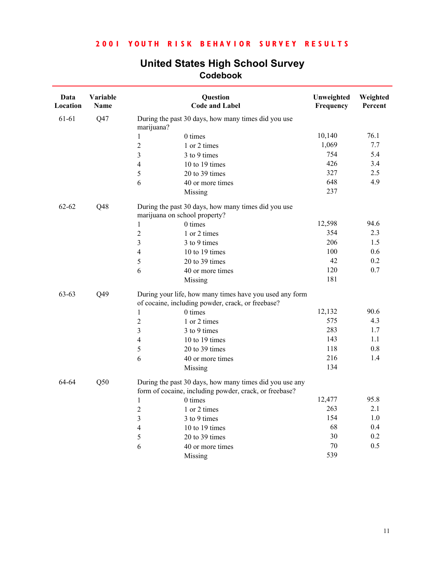| Data<br>Location | Variable<br>Name |                               | Question<br><b>Code and Label</b>                                                                                 | Unweighted<br>Frequency | Weighted<br>Percent |  |
|------------------|------------------|-------------------------------|-------------------------------------------------------------------------------------------------------------------|-------------------------|---------------------|--|
| 61-61            | Q47              | marijuana?                    | During the past 30 days, how many times did you use                                                               |                         |                     |  |
|                  |                  | 1                             | 0 times                                                                                                           | 10,140                  | 76.1                |  |
|                  |                  | $\overline{c}$                | 1 or 2 times                                                                                                      | 1,069                   | 7.7                 |  |
|                  |                  | 3                             | 3 to 9 times                                                                                                      | 754                     | 5.4                 |  |
|                  |                  | $\overline{4}$                | 10 to 19 times                                                                                                    | 426                     | 3.4                 |  |
|                  |                  | 5                             | 20 to 39 times                                                                                                    | 327                     | 2.5                 |  |
|                  |                  | 6                             | 40 or more times                                                                                                  | 648                     | 4.9                 |  |
|                  |                  |                               | Missing                                                                                                           | 237                     |                     |  |
| $62 - 62$        | Q48              | marijuana on school property? | During the past 30 days, how many times did you use                                                               |                         |                     |  |
|                  |                  | 1                             | 0 times                                                                                                           | 12,598                  | 94.6                |  |
|                  |                  | $\overline{c}$                | 1 or 2 times                                                                                                      | 354                     | 2.3                 |  |
|                  |                  | 3                             | 3 to 9 times                                                                                                      | 206                     | 1.5                 |  |
|                  |                  | $\overline{\mathbf{4}}$       | 10 to 19 times                                                                                                    | 100                     | 0.6                 |  |
|                  |                  | 5                             | 20 to 39 times                                                                                                    | 42                      | 0.2                 |  |
|                  |                  | 6                             | 40 or more times                                                                                                  | 120                     | 0.7                 |  |
|                  |                  |                               | Missing                                                                                                           | 181                     |                     |  |
| $63 - 63$        | Q49              |                               | During your life, how many times have you used any form<br>of cocaine, including powder, crack, or freebase?      |                         |                     |  |
|                  |                  | 1                             | 0 times                                                                                                           | 12,132                  | 90.6                |  |
|                  |                  | $\overline{c}$                | 1 or 2 times                                                                                                      | 575                     | 4.3                 |  |
|                  |                  | 3                             | 3 to 9 times                                                                                                      | 283                     | 1.7                 |  |
|                  |                  | 4                             | 10 to 19 times                                                                                                    | 143                     | 1.1                 |  |
|                  |                  | 5                             | 20 to 39 times                                                                                                    | 118                     | 0.8                 |  |
|                  |                  | 6                             | 40 or more times                                                                                                  | 216                     | 1.4                 |  |
|                  |                  |                               | Missing                                                                                                           | 134                     |                     |  |
| 64-64            | Q50              |                               | During the past 30 days, how many times did you use any<br>form of cocaine, including powder, crack, or freebase? |                         |                     |  |
|                  |                  | $\mathbf{1}$                  | 0 times                                                                                                           | 12,477                  | 95.8                |  |
|                  |                  | $\overline{c}$                | 1 or 2 times                                                                                                      | 263                     | 2.1                 |  |
|                  |                  | 3                             | 3 to 9 times                                                                                                      | 154                     | 1.0                 |  |
|                  |                  | 4                             | 10 to 19 times                                                                                                    | 68                      | 0.4                 |  |
|                  |                  | 5                             | 20 to 39 times                                                                                                    | 30                      | 0.2                 |  |
|                  |                  | 6                             | 40 or more times                                                                                                  | 70                      | 0.5                 |  |
|                  |                  |                               | Missing                                                                                                           | 539                     |                     |  |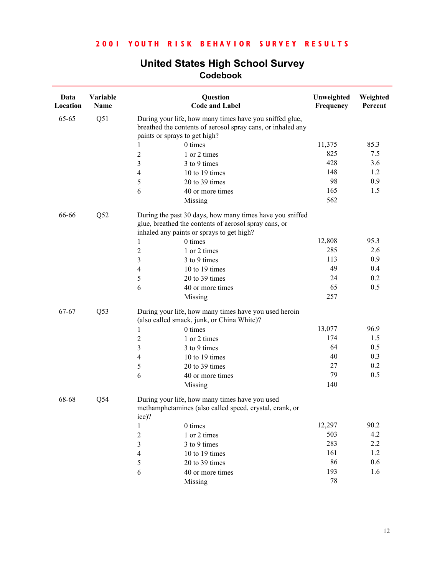| Data<br>Location | Variable<br>Name |                               | Question<br><b>Code and Label</b>                                                                                      | Unweighted<br>Frequency | Weighted<br>Percent |
|------------------|------------------|-------------------------------|------------------------------------------------------------------------------------------------------------------------|-------------------------|---------------------|
| 65-65            | Q51              | paints or sprays to get high? | During your life, how many times have you sniffed glue,<br>breathed the contents of aerosol spray cans, or inhaled any |                         |                     |
|                  |                  |                               | 0 times                                                                                                                | 11,375                  | 85.3                |
|                  |                  | $\overline{c}$                | 1 or 2 times                                                                                                           | 825                     | 7.5                 |
|                  |                  | 3                             | 3 to 9 times                                                                                                           | 428                     | 3.6                 |
|                  |                  | 4                             | 10 to 19 times                                                                                                         | 148                     | 1.2                 |
|                  |                  | 5                             | 20 to 39 times                                                                                                         | 98                      | 0.9                 |
|                  |                  | 6                             | 40 or more times                                                                                                       | 165                     | 1.5                 |
|                  |                  |                               | Missing                                                                                                                | 562                     |                     |
| 66-66            | Q52              |                               | During the past 30 days, how many times have you sniffed                                                               |                         |                     |
|                  |                  |                               | glue, breathed the contents of aerosol spray cans, or                                                                  |                         |                     |
|                  |                  |                               | inhaled any paints or sprays to get high?                                                                              |                         |                     |
|                  |                  | 1                             | 0 times                                                                                                                | 12,808                  | 95.3                |
|                  |                  | 2                             | 1 or 2 times                                                                                                           | 285                     | 2.6                 |
|                  |                  | 3                             | 3 to 9 times                                                                                                           | 113                     | 0.9                 |
|                  |                  | 4                             | 10 to 19 times                                                                                                         | 49                      | 0.4                 |
|                  |                  | 5                             | 20 to 39 times                                                                                                         | 24                      | 0.2                 |
|                  |                  | 6                             | 40 or more times                                                                                                       | 65                      | 0.5                 |
|                  |                  |                               | Missing                                                                                                                | 257                     |                     |
| 67-67            | Q53              |                               | During your life, how many times have you used heroin<br>(also called smack, junk, or China White)?                    |                         |                     |
|                  |                  | 1                             | 0 times                                                                                                                | 13,077                  | 96.9                |
|                  |                  | $\overline{\mathbf{c}}$       | 1 or 2 times                                                                                                           | 174                     | 1.5                 |
|                  |                  | 3                             | 3 to 9 times                                                                                                           | 64                      | 0.5                 |
|                  |                  | 4                             | 10 to 19 times                                                                                                         | 40                      | 0.3                 |
|                  |                  | 5                             | 20 to 39 times                                                                                                         | 27                      | 0.2                 |
|                  |                  | 6                             | 40 or more times                                                                                                       | 79                      | 0.5                 |
|                  |                  |                               | Missing                                                                                                                | 140                     |                     |
| 68-68            | Q54              |                               | During your life, how many times have you used<br>methamphetamines (also called speed, crystal, crank, or              |                         |                     |
|                  |                  | ice)?                         |                                                                                                                        |                         |                     |
|                  |                  | 1                             | 0 times                                                                                                                | 12,297                  | 90.2                |
|                  |                  | $\overline{c}$                | 1 or 2 times                                                                                                           | 503                     | 4.2                 |
|                  |                  | 3                             | 3 to 9 times                                                                                                           | 283                     | 2.2                 |
|                  |                  | 4                             | 10 to 19 times                                                                                                         | 161                     | 1.2                 |
|                  |                  | 5                             | 20 to 39 times                                                                                                         | 86                      | 0.6                 |
|                  |                  | 6                             | 40 or more times                                                                                                       | 193                     | 1.6                 |
|                  |                  |                               | Missing                                                                                                                | 78                      |                     |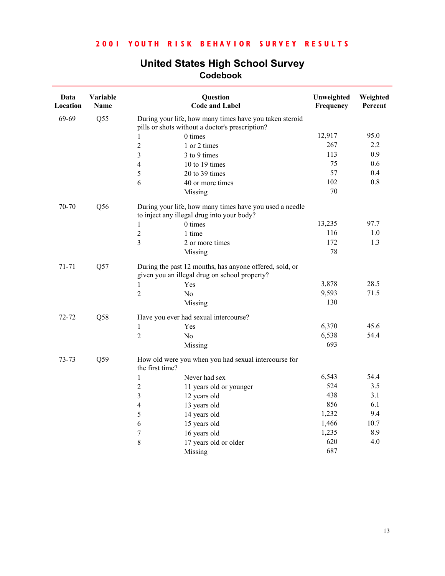| Data<br>Location | Variable<br>Name                              |                                                         | Question<br><b>Code and Label</b>                       | Unweighted<br>Frequency | Weighted<br>Percent |
|------------------|-----------------------------------------------|---------------------------------------------------------|---------------------------------------------------------|-------------------------|---------------------|
| 69-69            | Q55                                           | pills or shots without a doctor's prescription?         | During your life, how many times have you taken steroid |                         |                     |
|                  |                                               | 0 times<br>1                                            |                                                         | 12,917                  | 95.0                |
|                  |                                               | $\overline{2}$<br>1 or 2 times                          |                                                         | 267                     | 2.2                 |
|                  |                                               | 3<br>3 to 9 times                                       |                                                         | 113                     | 0.9                 |
|                  |                                               | 10 to 19 times<br>4                                     |                                                         | 75                      | 0.6                 |
|                  |                                               | 5<br>20 to 39 times                                     |                                                         | 57                      | 0.4                 |
|                  |                                               | 6                                                       | 40 or more times                                        | 102                     | 0.8                 |
|                  |                                               | Missing                                                 |                                                         | 70                      |                     |
| 70-70            | Q56                                           | to inject any illegal drug into your body?              | During your life, how many times have you used a needle |                         |                     |
|                  |                                               | 0 times<br>$\mathbf{1}$                                 |                                                         | 13,235                  | 97.7                |
|                  |                                               | $\overline{c}$<br>1 time                                |                                                         | 116                     | 1.0                 |
|                  |                                               | 3                                                       | 2 or more times                                         | 172                     | 1.3                 |
|                  |                                               | Missing                                                 |                                                         | 78                      |                     |
| 71-71<br>Q57     | given you an illegal drug on school property? | During the past 12 months, has anyone offered, sold, or |                                                         |                         |                     |
|                  |                                               | $\mathbf{1}$<br>Yes                                     |                                                         | 3,878                   | 28.5                |
|                  |                                               | $\overline{2}$<br>No                                    |                                                         | 9,593                   | 71.5                |
|                  |                                               | Missing                                                 |                                                         | 130                     |                     |
| 72-72            | Q58                                           | Have you ever had sexual intercourse?                   |                                                         |                         |                     |
|                  |                                               | $\mathbf{1}$<br>Yes                                     |                                                         | 6,370                   | 45.6                |
|                  |                                               | $\overline{2}$<br>No                                    |                                                         | 6,538                   | 54.4                |
|                  |                                               | Missing                                                 |                                                         | 693                     |                     |
| 73-73            | Q59                                           | the first time?                                         | How old were you when you had sexual intercourse for    |                         |                     |
|                  |                                               | Never had sex<br>1                                      |                                                         | 6,543                   | 54.4                |
|                  |                                               | $\overline{2}$                                          | 11 years old or younger                                 | 524                     | 3.5                 |
|                  |                                               | 3<br>12 years old                                       |                                                         | 438                     | 3.1                 |
|                  |                                               | $\overline{4}$<br>13 years old                          |                                                         | 856                     | 6.1                 |
|                  |                                               | 5<br>14 years old                                       |                                                         | 1,232                   | 9.4                 |
|                  |                                               | 6<br>15 years old                                       |                                                         | 1,466                   | 10.7                |
|                  |                                               | 16 years old<br>$\boldsymbol{7}$                        |                                                         | 1,235                   | 8.9                 |
|                  |                                               | 8                                                       | 17 years old or older                                   | 620                     | 4.0                 |
|                  |                                               | Missing                                                 |                                                         | 687                     |                     |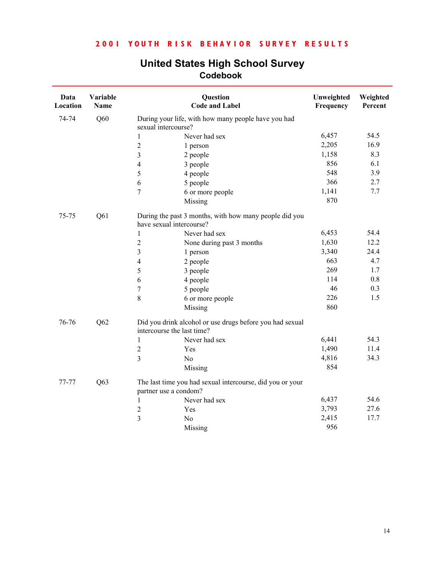| Data<br>Location | Variable<br>Name |                            | Question<br><b>Code and Label</b>                         | Unweighted<br>Frequency | Weighted<br>Percent |
|------------------|------------------|----------------------------|-----------------------------------------------------------|-------------------------|---------------------|
| 74-74            | Q60              | sexual intercourse?        | During your life, with how many people have you had       |                         |                     |
|                  |                  | $\mathbf{1}$               | Never had sex                                             | 6,457                   | 54.5                |
|                  |                  | $\overline{c}$<br>1 person |                                                           | 2,205                   | 16.9                |
|                  |                  | 3<br>2 people              |                                                           | 1,158                   | 8.3                 |
|                  |                  | 3 people<br>4              |                                                           | 856                     | 6.1                 |
|                  |                  | 5<br>4 people              |                                                           | 548                     | 3.9                 |
|                  |                  | 5 people<br>6              |                                                           | 366                     | 2.7                 |
|                  |                  | 7                          | 6 or more people                                          | 1,141                   | 7.7                 |
|                  |                  | Missing                    |                                                           | 870                     |                     |
| 75-75            | Q61              | have sexual intercourse?   | During the past 3 months, with how many people did you    |                         |                     |
|                  |                  | $\mathbf{1}$               | Never had sex                                             | 6,453                   | 54.4                |
|                  |                  | $\overline{c}$             | None during past 3 months                                 | 1,630                   | 12.2                |
|                  |                  | 3<br>1 person              |                                                           | 3,340                   | 24.4                |
|                  |                  | 4<br>2 people              |                                                           | 663                     | 4.7                 |
|                  |                  | 5<br>3 people              |                                                           | 269                     | 1.7                 |
|                  |                  | 4 people<br>6              |                                                           | 114                     | $0.8\,$             |
|                  |                  | $\sqrt{ }$<br>5 people     |                                                           | 46                      | 0.3                 |
|                  |                  | 8                          | 6 or more people                                          | 226                     | 1.5                 |
|                  |                  | Missing                    |                                                           | 860                     |                     |
| 76-76            | Q62              | intercourse the last time? | Did you drink alcohol or use drugs before you had sexual  |                         |                     |
|                  |                  | $\mathbf{1}$               | Never had sex                                             | 6,441                   | 54.3                |
|                  |                  | $\overline{c}$<br>Yes      |                                                           | 1,490                   | 11.4                |
|                  |                  | 3<br>No                    |                                                           | 4,816                   | 34.3                |
|                  |                  | Missing                    |                                                           | 854                     |                     |
| 77-77            | Q63              | partner use a condom?      | The last time you had sexual intercourse, did you or your |                         |                     |
|                  |                  | 1                          | Never had sex                                             | 6,437                   | 54.6                |
|                  |                  | 2<br>Yes                   |                                                           | 3,793                   | 27.6                |
|                  |                  | 3<br>N <sub>o</sub>        |                                                           | 2,415                   | 17.7                |
|                  |                  | Missing                    |                                                           | 956                     |                     |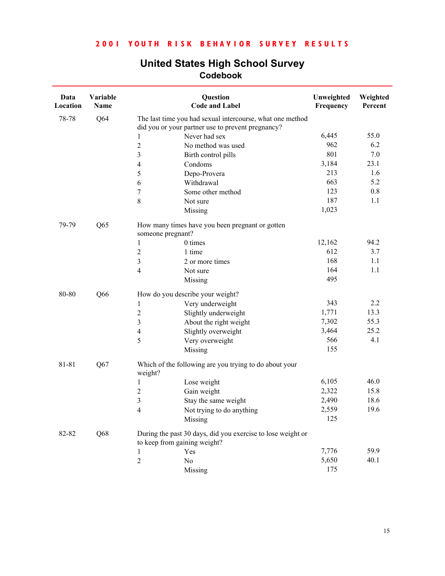| <b>United States High School Survey</b> |  |  |  |  |  |
|-----------------------------------------|--|--|--|--|--|
| Codebook                                |  |  |  |  |  |

| Data<br>Location | Variable<br>Name |                                  | Question<br><b>Code and Label</b>                           | Unweighted<br>Frequency | Weighted<br>Percent |
|------------------|------------------|----------------------------------|-------------------------------------------------------------|-------------------------|---------------------|
| 78-78            | Q <sub>64</sub>  |                                  | The last time you had sexual intercourse, what one method   |                         |                     |
|                  |                  |                                  | did you or your partner use to prevent pregnancy?           |                         |                     |
|                  |                  | 1                                | Never had sex                                               | 6,445                   | 55.0                |
|                  |                  | $\overline{c}$                   | No method was used                                          | 962                     | 6.2                 |
|                  |                  | 3                                | Birth control pills                                         | 801                     | 7.0                 |
|                  |                  | 4                                | Condoms                                                     | 3,184                   | 23.1                |
|                  |                  | 5                                | Depo-Provera                                                | 213                     | 1.6                 |
|                  |                  | 6                                | Withdrawal                                                  | 663                     | 5.2                 |
|                  |                  | 7                                | Some other method                                           | 123                     | 0.8                 |
|                  |                  | 8                                | Not sure                                                    | 187                     | 1.1                 |
|                  |                  |                                  | Missing                                                     | 1,023                   |                     |
| 79-79            | Q65              | someone pregnant?                | How many times have you been pregnant or gotten             |                         |                     |
|                  |                  | 1                                | 0 times                                                     | 12,162                  | 94.2                |
|                  |                  | $\overline{c}$                   | 1 time                                                      | 612                     | 3.7                 |
|                  |                  | 3                                | 2 or more times                                             | 168                     | 1.1                 |
|                  |                  | 4                                | Not sure                                                    | 164                     | 1.1                 |
|                  |                  |                                  | Missing                                                     | 495                     |                     |
| 80-80            | Q66              | How do you describe your weight? |                                                             |                         |                     |
|                  |                  | 1                                | Very underweight                                            | 343                     | 2.2                 |
|                  |                  | $\overline{c}$                   | Slightly underweight                                        | 1,771                   | 13.3                |
|                  |                  | 3                                | About the right weight                                      | 7,302                   | 55.3                |
|                  |                  | 4                                | Slightly overweight                                         | 3,464                   | 25.2                |
|                  |                  | 5                                | Very overweight                                             | 566                     | 4.1                 |
|                  |                  |                                  | Missing                                                     | 155                     |                     |
| 81-81            | Q67              | weight?                          | Which of the following are you trying to do about your      |                         |                     |
|                  |                  | 1                                | Lose weight                                                 | 6,105                   | 46.0                |
|                  |                  | $\overline{\mathbf{c}}$          | Gain weight                                                 | 2,322                   | 15.8                |
|                  |                  | 3                                | Stay the same weight                                        | 2,490                   | 18.6                |
|                  |                  | 4                                | Not trying to do anything                                   | 2,559                   | 19.6                |
|                  |                  |                                  | Missing                                                     | 125                     |                     |
| 82-82            | Q68              | to keep from gaining weight?     | During the past 30 days, did you exercise to lose weight or |                         |                     |
|                  |                  | Yes<br>1                         |                                                             | 7,776                   | 59.9                |
|                  |                  | $\sqrt{2}$<br>No                 |                                                             | 5,650                   | 40.1                |
|                  |                  |                                  | Missing                                                     | 175                     |                     |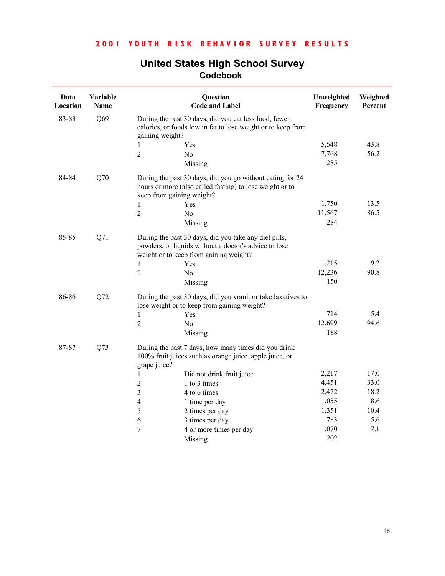| Data<br>Location | Variable<br>Name |                                        | Question<br><b>Code and Label</b>                                                                                     | Unweighted<br>Frequency | Weighted<br>Percent |
|------------------|------------------|----------------------------------------|-----------------------------------------------------------------------------------------------------------------------|-------------------------|---------------------|
| 83-83            | Q69              | gaining weight?                        | During the past 30 days, did you eat less food, fewer<br>calories, or foods low in fat to lose weight or to keep from |                         |                     |
|                  |                  | Yes<br>1                               |                                                                                                                       | 5,548                   | 43.8                |
|                  |                  | $\overline{2}$<br>N <sub>0</sub>       |                                                                                                                       | 7,768                   | 56.2                |
|                  |                  | Missing                                |                                                                                                                       | 285                     |                     |
| 84-84            | Q70              | keep from gaining weight?              | During the past 30 days, did you go without eating for 24<br>hours or more (also called fasting) to lose weight or to |                         |                     |
|                  |                  | Yes<br>1                               |                                                                                                                       | 1,750                   | 13.5                |
|                  |                  | $\overline{2}$<br>No                   |                                                                                                                       | 11,567                  | 86.5                |
|                  |                  | Missing                                |                                                                                                                       | 284                     |                     |
| 85-85            | Q71              | weight or to keep from gaining weight? | During the past 30 days, did you take any diet pills,<br>powders, or liquids without a doctor's advice to lose        |                         |                     |
|                  |                  | Yes<br>1                               |                                                                                                                       | 1,215                   | 9.2                 |
|                  |                  | $\overline{2}$<br>No                   |                                                                                                                       | 12,236                  | 90.8                |
|                  |                  | Missing                                |                                                                                                                       | 150                     |                     |
| 86-86            | Q72              |                                        | During the past 30 days, did you vomit or take laxatives to<br>lose weight or to keep from gaining weight?            |                         |                     |
|                  |                  | Yes<br>$\mathbf{1}$                    |                                                                                                                       | 714                     | 5.4                 |
|                  |                  | $\overline{2}$<br>N <sub>0</sub>       |                                                                                                                       | 12,699                  | 94.6                |
|                  |                  | Missing                                |                                                                                                                       | 188                     |                     |
| 87-87            | Q73              | grape juice?                           | During the past 7 days, how many times did you drink<br>100% fruit juices such as orange juice, apple juice, or       |                         |                     |
|                  |                  | 1                                      | Did not drink fruit juice                                                                                             | 2,217                   | 17.0                |
|                  |                  | $\overline{c}$                         | 1 to 3 times                                                                                                          | 4,451                   | 33.0                |
|                  |                  | 3                                      | 4 to 6 times                                                                                                          | 2,472                   | 18.2                |
|                  |                  | $\overline{4}$                         | 1 time per day                                                                                                        | 1,055                   | 8.6                 |
|                  |                  | 5                                      | 2 times per day                                                                                                       | 1,351                   | 10.4                |
|                  |                  | 6                                      | 3 times per day                                                                                                       | 783                     | 5.6                 |
|                  |                  | 7                                      | 4 or more times per day                                                                                               | 1,070                   | 7.1                 |
|                  |                  | Missing                                |                                                                                                                       | 202                     |                     |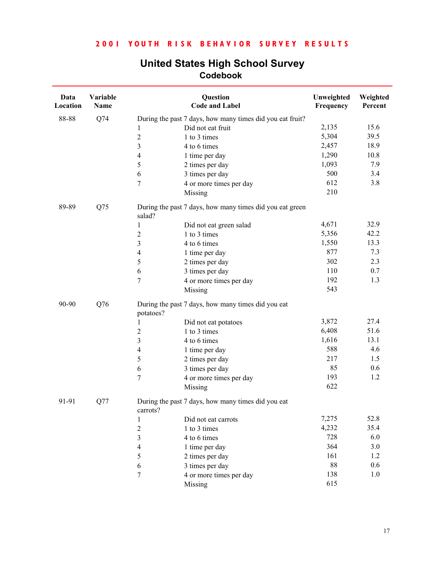| Data<br>Location | Variable<br>Name |                          | Question<br><b>Code and Label</b>                         | Unweighted<br>Frequency | Weighted<br>Percent |
|------------------|------------------|--------------------------|-----------------------------------------------------------|-------------------------|---------------------|
| 88-88            | Q74              |                          | During the past 7 days, how many times did you eat fruit? |                         |                     |
|                  |                  | $\mathbf{1}$             | Did not eat fruit                                         | 2,135                   | 15.6                |
|                  |                  | $\overline{c}$           | 1 to 3 times                                              | 5,304                   | 39.5                |
|                  |                  | $\overline{\mathbf{3}}$  | 4 to 6 times                                              | 2,457                   | 18.9                |
|                  |                  | $\overline{4}$           | 1 time per day                                            | 1,290                   | 10.8                |
|                  |                  | 5                        | 2 times per day                                           | 1,093                   | 7.9                 |
|                  |                  | $\sqrt{6}$               | 3 times per day                                           | 500                     | 3.4                 |
|                  |                  | $\overline{7}$           | 4 or more times per day                                   | 612                     | 3.8                 |
|                  |                  |                          | Missing                                                   | 210                     |                     |
| 89-89            | Q75              | salad?                   | During the past 7 days, how many times did you eat green  |                         |                     |
|                  |                  | $\mathbf{1}$             | Did not eat green salad                                   | 4,671                   | 32.9                |
|                  |                  | $\boldsymbol{2}$         | 1 to 3 times                                              | 5,356                   | 42.2                |
|                  |                  | 3                        | 4 to 6 times                                              | 1,550                   | 13.3                |
|                  |                  | $\overline{\mathbf{4}}$  | 1 time per day                                            | 877                     | 7.3                 |
|                  |                  | 5                        | 2 times per day                                           | 302                     | 2.3                 |
|                  |                  | $\sqrt{6}$               | 3 times per day                                           | 110                     | 0.7                 |
|                  |                  | $\tau$                   | 4 or more times per day                                   | 192                     | 1.3                 |
|                  |                  |                          | Missing                                                   | 543                     |                     |
| 90-90            | Q76              | potatoes?                | During the past 7 days, how many times did you eat        |                         |                     |
|                  |                  | 1                        | Did not eat potatoes                                      | 3,872                   | 27.4                |
|                  |                  | $\overline{2}$           | 1 to 3 times                                              | 6,408                   | 51.6                |
|                  |                  | $\overline{\mathbf{3}}$  | 4 to 6 times                                              | 1,616                   | 13.1                |
|                  |                  | $\overline{\mathcal{L}}$ | 1 time per day                                            | 588                     | 4.6                 |
|                  |                  | 5                        | 2 times per day                                           | 217                     | 1.5                 |
|                  |                  | $\sqrt{6}$               | 3 times per day                                           | 85                      | 0.6                 |
|                  |                  | 7                        | 4 or more times per day                                   | 193                     | 1.2                 |
|                  |                  |                          | Missing                                                   | 622                     |                     |
| 91-91            | Q77              | carrots?                 | During the past 7 days, how many times did you eat        |                         |                     |
|                  |                  | $\mathbf{1}$             | Did not eat carrots                                       | 7,275                   | 52.8                |
|                  |                  | $\overline{2}$           | 1 to 3 times                                              | 4,232                   | 35.4                |
|                  |                  | 3                        | 4 to 6 times                                              | 728                     | 6.0                 |
|                  |                  | 4                        | 1 time per day                                            | 364                     | 3.0                 |
|                  |                  | 5                        | 2 times per day                                           | 161                     | 1.2                 |
|                  |                  | 6                        | 3 times per day                                           | 88                      | 0.6                 |
|                  |                  | 7                        | 4 or more times per day                                   | 138                     | 1.0                 |
|                  |                  |                          | Missing                                                   | 615                     |                     |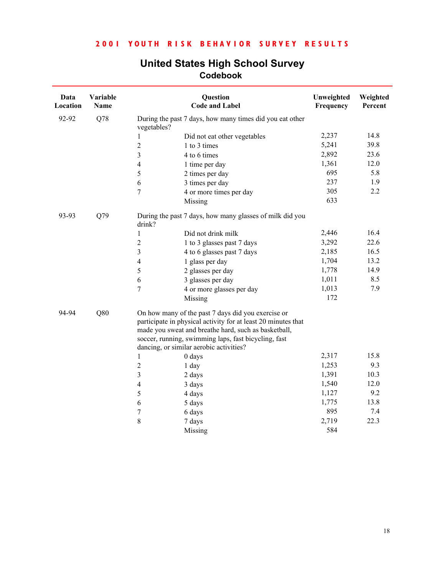| Data<br>Location | Variable<br>Name |                  | Question<br><b>Code and Label</b>                                                                                                                                                                                                                                              | Unweighted<br>Frequency | Weighted<br>Percent |
|------------------|------------------|------------------|--------------------------------------------------------------------------------------------------------------------------------------------------------------------------------------------------------------------------------------------------------------------------------|-------------------------|---------------------|
| 92-92            | Q78              | vegetables?      | During the past 7 days, how many times did you eat other                                                                                                                                                                                                                       |                         |                     |
|                  |                  | 1                | Did not eat other vegetables                                                                                                                                                                                                                                                   | 2,237                   | 14.8                |
|                  |                  | $\overline{2}$   | 1 to 3 times                                                                                                                                                                                                                                                                   | 5,241                   | 39.8                |
|                  |                  | 3                | 4 to 6 times                                                                                                                                                                                                                                                                   | 2,892                   | 23.6                |
|                  |                  | $\overline{4}$   | 1 time per day                                                                                                                                                                                                                                                                 | 1,361                   | 12.0                |
|                  |                  | 5                | 2 times per day                                                                                                                                                                                                                                                                | 695                     | 5.8                 |
|                  |                  | 6                | 3 times per day                                                                                                                                                                                                                                                                | 237                     | 1.9                 |
|                  |                  | $\overline{7}$   | 4 or more times per day                                                                                                                                                                                                                                                        | 305                     | 2.2                 |
|                  |                  |                  | Missing                                                                                                                                                                                                                                                                        | 633                     |                     |
| 93-93            | Q79              | drink?           | During the past 7 days, how many glasses of milk did you                                                                                                                                                                                                                       |                         |                     |
|                  |                  | $\mathbf{1}$     | Did not drink milk                                                                                                                                                                                                                                                             | 2,446                   | 16.4                |
|                  |                  | $\sqrt{2}$       | 1 to 3 glasses past 7 days                                                                                                                                                                                                                                                     | 3,292                   | 22.6                |
|                  |                  | 3                | 4 to 6 glasses past 7 days                                                                                                                                                                                                                                                     | 2,185                   | 16.5                |
|                  |                  | $\overline{4}$   | 1 glass per day                                                                                                                                                                                                                                                                | 1,704                   | 13.2                |
|                  |                  | 5                | 2 glasses per day                                                                                                                                                                                                                                                              | 1,778                   | 14.9                |
|                  |                  | 6                | 3 glasses per day                                                                                                                                                                                                                                                              | 1,011                   | 8.5                 |
|                  |                  | $\overline{7}$   | 4 or more glasses per day                                                                                                                                                                                                                                                      | 1,013                   | 7.9                 |
|                  |                  |                  | Missing                                                                                                                                                                                                                                                                        | 172                     |                     |
| 94-94            | Q80              |                  | On how many of the past 7 days did you exercise or<br>participate in physical activity for at least 20 minutes that<br>made you sweat and breathe hard, such as basketball,<br>soccer, running, swimming laps, fast bicycling, fast<br>dancing, or similar aerobic activities? |                         |                     |
|                  |                  | $\mathbf{1}$     | 0 days                                                                                                                                                                                                                                                                         | 2,317                   | 15.8                |
|                  |                  | $\boldsymbol{2}$ | 1 day                                                                                                                                                                                                                                                                          | 1,253                   | 9.3                 |
|                  |                  | $\mathfrak{Z}$   | 2 days                                                                                                                                                                                                                                                                         | 1,391                   | 10.3                |
|                  |                  | $\overline{4}$   | 3 days                                                                                                                                                                                                                                                                         | 1,540                   | 12.0                |
|                  |                  | 5                | 4 days                                                                                                                                                                                                                                                                         | 1,127                   | 9.2                 |
|                  |                  | 6                | 5 days                                                                                                                                                                                                                                                                         | 1,775                   | 13.8                |
|                  |                  | $\overline{7}$   | 6 days                                                                                                                                                                                                                                                                         | 895                     | 7.4                 |
|                  |                  | 8                | 7 days                                                                                                                                                                                                                                                                         | 2,719                   | 22.3                |
|                  |                  |                  | Missing                                                                                                                                                                                                                                                                        | 584                     |                     |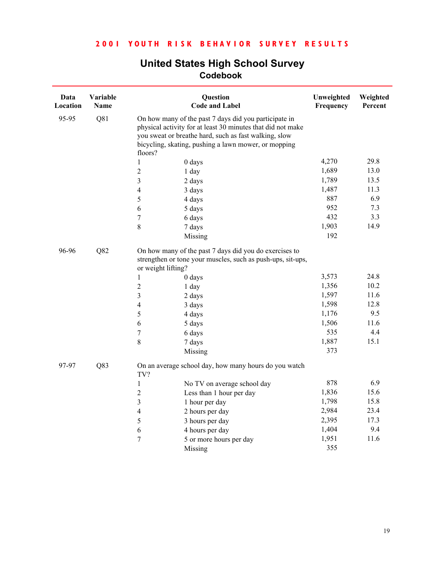| Data<br>Location | Variable<br><b>Name</b> |                          | Question<br><b>Code and Label</b>                                                                                                                                                                                                     | Unweighted<br>Frequency | Weighted<br>Percent |
|------------------|-------------------------|--------------------------|---------------------------------------------------------------------------------------------------------------------------------------------------------------------------------------------------------------------------------------|-------------------------|---------------------|
| 95-95            | Q81                     | floors?                  | On how many of the past 7 days did you participate in<br>physical activity for at least 30 minutes that did not make<br>you sweat or breathe hard, such as fast walking, slow<br>bicycling, skating, pushing a lawn mower, or mopping |                         |                     |
|                  |                         | $0$ days<br>1            |                                                                                                                                                                                                                                       | 4,270                   | 29.8                |
|                  |                         | $\overline{c}$<br>1 day  |                                                                                                                                                                                                                                       | 1,689                   | 13.0                |
|                  |                         | 3<br>2 days              |                                                                                                                                                                                                                                       | 1,789                   | 13.5                |
|                  |                         | $\overline{4}$<br>3 days |                                                                                                                                                                                                                                       | 1,487                   | 11.3                |
|                  |                         | 5<br>4 days              |                                                                                                                                                                                                                                       | 887                     | 6.9                 |
|                  |                         | 6<br>5 days              |                                                                                                                                                                                                                                       | 952                     | 7.3                 |
|                  |                         | 7<br>6 days              |                                                                                                                                                                                                                                       | 432                     | 3.3                 |
|                  |                         | 8<br>7 days              |                                                                                                                                                                                                                                       | 1,903                   | 14.9                |
|                  |                         | Missing                  |                                                                                                                                                                                                                                       | 192                     |                     |
| 96-96            | Q82                     | or weight lifting?       | On how many of the past 7 days did you do exercises to<br>strengthen or tone your muscles, such as push-ups, sit-ups,                                                                                                                 |                         |                     |
|                  |                         | $\mathbf{1}$<br>0 days   |                                                                                                                                                                                                                                       | 3,573                   | 24.8                |
|                  |                         | $\overline{c}$<br>1 day  |                                                                                                                                                                                                                                       | 1,356                   | 10.2                |
|                  |                         | 3<br>2 days              |                                                                                                                                                                                                                                       | 1,597                   | 11.6                |
|                  |                         | $\overline{4}$<br>3 days |                                                                                                                                                                                                                                       | 1,598                   | 12.8                |
|                  |                         | 5<br>4 days              |                                                                                                                                                                                                                                       | 1,176                   | 9.5                 |
|                  |                         | 6<br>5 days              |                                                                                                                                                                                                                                       | 1,506                   | 11.6                |
|                  |                         | 7<br>6 days              |                                                                                                                                                                                                                                       | 535                     | 4.4                 |
|                  |                         | 8<br>7 days              |                                                                                                                                                                                                                                       | 1,887                   | 15.1                |
|                  |                         | Missing                  |                                                                                                                                                                                                                                       | 373                     |                     |
| 97-97            | Q83                     | TV?                      | On an average school day, how many hours do you watch                                                                                                                                                                                 |                         |                     |
|                  |                         | $\mathbf{1}$             | No TV on average school day                                                                                                                                                                                                           | 878                     | 6.9                 |
|                  |                         | $\overline{\mathbf{c}}$  | Less than 1 hour per day                                                                                                                                                                                                              | 1,836                   | 15.6                |
|                  |                         | 3                        | 1 hour per day                                                                                                                                                                                                                        | 1,798                   | 15.8                |
|                  |                         | $\overline{4}$           | 2 hours per day                                                                                                                                                                                                                       | 2,984                   | 23.4                |
|                  |                         | 5                        | 3 hours per day                                                                                                                                                                                                                       | 2,395                   | 17.3                |
|                  |                         | 6                        | 4 hours per day                                                                                                                                                                                                                       | 1,404                   | 9.4                 |
|                  |                         | 7                        | 5 or more hours per day                                                                                                                                                                                                               | 1,951                   | 11.6                |
|                  |                         | Missing                  |                                                                                                                                                                                                                                       | 355                     |                     |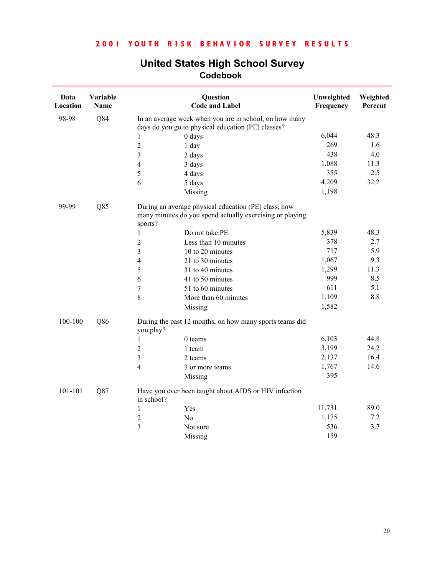| Data<br>Location | Variable<br>Name |                          | Question<br><b>Code and Label</b>                                                                                | Unweighted<br>Frequency | Weighted<br>Percent |
|------------------|------------------|--------------------------|------------------------------------------------------------------------------------------------------------------|-------------------------|---------------------|
| 98-98            | Q84              |                          | In an average week when you are in school, on how many<br>days do you go to physical education (PE) classes?     |                         |                     |
|                  |                  | 1                        | 0 days                                                                                                           | 6,044                   | 48.3                |
|                  |                  | $\overline{2}$           | 1 day                                                                                                            | 269                     | 1.6                 |
|                  |                  | 3                        | 2 days                                                                                                           | 438                     | 4.0                 |
|                  |                  | $\overline{4}$           | 3 days                                                                                                           | 1,088                   | 11.3                |
|                  |                  | 5                        | 4 days                                                                                                           | 355                     | 2.5                 |
|                  |                  | 6                        | 5 days                                                                                                           | 4,209                   | 32.2                |
|                  |                  |                          | Missing                                                                                                          | 1,198                   |                     |
| 99-99            | Q85              | sports?                  | During an average physical education (PE) class, how<br>many minutes do you spend actually exercising or playing |                         |                     |
|                  |                  | 1                        | Do not take PE                                                                                                   | 5,839                   | 48.3                |
|                  |                  | $\overline{2}$           | Less than 10 minutes                                                                                             | 378                     | 2.7                 |
|                  |                  | $\overline{3}$           | 10 to 20 minutes                                                                                                 | 717                     | 5.9                 |
|                  |                  | $\overline{4}$           | 21 to 30 minutes                                                                                                 | 1,067                   | 9.3                 |
|                  |                  | 5                        | 31 to 40 minutes                                                                                                 | 1,299                   | 11.3                |
|                  |                  | 6                        | 41 to 50 minutes                                                                                                 | 999                     | 8.5                 |
|                  |                  | $\sqrt{ }$               | 51 to 60 minutes                                                                                                 | 611                     | 5.1                 |
|                  |                  | $\,8\,$                  | More than 60 minutes                                                                                             | 1,109                   | 8.8                 |
|                  |                  |                          | Missing                                                                                                          | 1,582                   |                     |
| 100-100          | Q86              | you play?                | During the past 12 months, on how many sports teams did                                                          |                         |                     |
|                  |                  | $\mathbf{1}$             | $0$ teams                                                                                                        | 6,103                   | 44.8                |
|                  |                  | $\sqrt{2}$               | 1 team                                                                                                           | 3,199                   | 24.2                |
|                  |                  | $\overline{\mathbf{3}}$  | 2 teams                                                                                                          | 2,137                   | 16.4                |
|                  |                  | $\overline{\mathcal{L}}$ | 3 or more teams                                                                                                  | 1,767                   | 14.6                |
|                  |                  |                          | Missing                                                                                                          | 395                     |                     |
| 101-101          | Q87              | in school?               | Have you ever been taught about AIDS or HIV infection                                                            |                         |                     |
|                  |                  | $\mathbf{1}$             | Yes                                                                                                              | 11,731                  | 89.0                |
|                  |                  | $\sqrt{2}$               | N <sub>0</sub>                                                                                                   | 1,175                   | 7.2                 |
|                  |                  | $\overline{3}$           | Not sure                                                                                                         | 536                     | 3.7                 |
|                  |                  |                          | Missing                                                                                                          | 159                     |                     |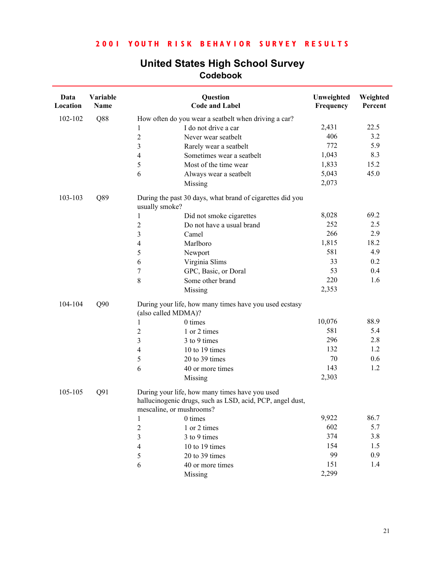| Data<br>Location | Variable<br>Name |                         | Question<br><b>Code and Label</b>                                                                                                       | Unweighted<br>Frequency | Weighted<br>Percent |
|------------------|------------------|-------------------------|-----------------------------------------------------------------------------------------------------------------------------------------|-------------------------|---------------------|
| 102-102          | Q88              |                         | How often do you wear a seatbelt when driving a car?                                                                                    |                         |                     |
|                  |                  | 1                       | I do not drive a car                                                                                                                    | 2,431                   | 22.5                |
|                  |                  | $\overline{c}$          | Never wear seatbelt                                                                                                                     | 406                     | 3.2                 |
|                  |                  | $\overline{\mathbf{3}}$ | Rarely wear a seatbelt                                                                                                                  | 772                     | 5.9                 |
|                  |                  | $\overline{4}$          | Sometimes wear a seatbelt                                                                                                               | 1,043                   | 8.3                 |
|                  |                  | $\sqrt{5}$              | Most of the time wear                                                                                                                   | 1,833                   | 15.2                |
|                  |                  | 6                       | Always wear a seatbelt                                                                                                                  | 5,043                   | 45.0                |
|                  |                  |                         | Missing                                                                                                                                 | 2,073                   |                     |
| 103-103          | Q89              | usually smoke?          | During the past 30 days, what brand of cigarettes did you                                                                               |                         |                     |
|                  |                  | 1                       | Did not smoke cigarettes                                                                                                                | 8,028                   | 69.2                |
|                  |                  | $\sqrt{2}$              | Do not have a usual brand                                                                                                               | 252                     | 2.5                 |
|                  |                  | $\mathfrak{Z}$          | Camel                                                                                                                                   | 266                     | 2.9                 |
|                  |                  | $\overline{4}$          | Marlboro                                                                                                                                | 1,815                   | 18.2                |
|                  |                  | 5                       | Newport                                                                                                                                 | 581                     | 4.9                 |
|                  |                  | 6                       | Virginia Slims                                                                                                                          | 33                      | 0.2                 |
|                  |                  | 7                       | GPC, Basic, or Doral                                                                                                                    | 53                      | 0.4                 |
|                  |                  | $\,8\,$                 | Some other brand                                                                                                                        | 220                     | 1.6                 |
|                  |                  |                         | Missing                                                                                                                                 | 2,353                   |                     |
| 104-104          | Q90              |                         | During your life, how many times have you used ecstasy<br>(also called MDMA)?                                                           |                         |                     |
|                  |                  | 1                       | 0 times                                                                                                                                 | 10,076                  | 88.9                |
|                  |                  | $\overline{2}$          | 1 or 2 times                                                                                                                            | 581                     | 5.4                 |
|                  |                  | 3                       | 3 to 9 times                                                                                                                            | 296                     | 2.8                 |
|                  |                  | 4                       | 10 to 19 times                                                                                                                          | 132                     | 1.2                 |
|                  |                  | $\sqrt{5}$              | 20 to 39 times                                                                                                                          | 70                      | 0.6                 |
|                  |                  | 6                       | 40 or more times                                                                                                                        | 143                     | 1.2                 |
|                  |                  |                         | Missing                                                                                                                                 | 2,303                   |                     |
| 105-105          | Q91              |                         | During your life, how many times have you used<br>hallucinogenic drugs, such as LSD, acid, PCP, angel dust,<br>mescaline, or mushrooms? |                         |                     |
|                  |                  | 1                       | 0 times                                                                                                                                 | 9,922                   | 86.7                |
|                  |                  | $\overline{\mathbf{c}}$ | 1 or 2 times                                                                                                                            | 602                     | 5.7                 |
|                  |                  | 3                       | 3 to 9 times                                                                                                                            | 374                     | 3.8                 |
|                  |                  | $\overline{4}$          | 10 to 19 times                                                                                                                          | 154                     | 1.5                 |
|                  |                  | 5                       | 20 to 39 times                                                                                                                          | 99                      | 0.9                 |
|                  |                  | 6                       | 40 or more times                                                                                                                        | 151                     | 1.4                 |
|                  |                  |                         | Missing                                                                                                                                 | 2,299                   |                     |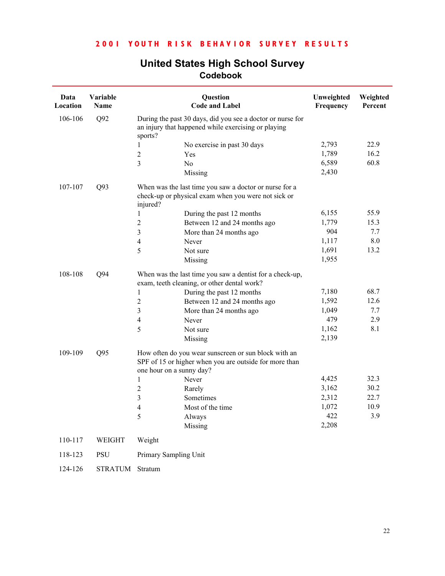| Data<br>Location | Variable<br>Name |                          | Question<br><b>Code and Label</b>                                                                                 | Unweighted<br>Frequency | Weighted<br>Percent |
|------------------|------------------|--------------------------|-------------------------------------------------------------------------------------------------------------------|-------------------------|---------------------|
| 106-106          | Q92              | sports?                  | During the past 30 days, did you see a doctor or nurse for<br>an injury that happened while exercising or playing |                         |                     |
|                  |                  | 1                        | No exercise in past 30 days                                                                                       | 2,793                   | 22.9                |
|                  |                  | $\overline{2}$           | Yes                                                                                                               | 1,789                   | 16.2                |
|                  |                  | $\overline{3}$           | N <sub>o</sub>                                                                                                    | 6,589                   | 60.8                |
|                  |                  |                          | Missing                                                                                                           | 2,430                   |                     |
| 107-107          | Q93              | injured?                 | When was the last time you saw a doctor or nurse for a<br>check-up or physical exam when you were not sick or     |                         |                     |
|                  |                  | 1                        | During the past 12 months                                                                                         | 6,155                   | 55.9                |
|                  |                  | $\overline{c}$           | Between 12 and 24 months ago                                                                                      | 1,779                   | 15.3                |
|                  |                  | $\mathfrak{Z}$           | More than 24 months ago                                                                                           | 904                     | 7.7                 |
|                  |                  | $\overline{4}$           | Never                                                                                                             | 1,117                   | $8.0\,$             |
|                  |                  | 5                        | Not sure                                                                                                          | 1,691                   | 13.2                |
|                  |                  |                          | Missing                                                                                                           | 1,955                   |                     |
| 108-108          | Q94              |                          | When was the last time you saw a dentist for a check-up,<br>exam, teeth cleaning, or other dental work?           |                         |                     |
|                  |                  | 1                        | During the past 12 months                                                                                         | 7,180                   | 68.7                |
|                  |                  | $\boldsymbol{2}$         | Between 12 and 24 months ago                                                                                      | 1,592                   | 12.6                |
|                  |                  | $\mathfrak{Z}$           | More than 24 months ago                                                                                           | 1,049                   | 7.7                 |
|                  |                  | $\overline{4}$           | Never                                                                                                             | 479                     | 2.9                 |
|                  |                  | 5                        | Not sure                                                                                                          | 1,162                   | 8.1                 |
|                  |                  |                          | Missing                                                                                                           | 2,139                   |                     |
| 109-109          | Q95              | one hour on a sunny day? | How often do you wear sunscreen or sun block with an<br>SPF of 15 or higher when you are outside for more than    |                         |                     |
|                  |                  | 1                        | Never                                                                                                             | 4,425                   | 32.3                |
|                  |                  | $\overline{c}$           | Rarely                                                                                                            | 3,162                   | 30.2                |
|                  |                  | $\mathfrak{Z}$           | Sometimes                                                                                                         | 2,312                   | 22.7                |
|                  |                  | 4                        | Most of the time                                                                                                  | 1,072                   | 10.9                |
|                  |                  |                          | Always                                                                                                            | 422                     | 3.9                 |
|                  |                  |                          | Missing                                                                                                           | 2,208                   |                     |
| 110-117          | WEIGHT           | Weight                   |                                                                                                                   |                         |                     |
| 118-123          | <b>PSU</b>       | Primary Sampling Unit    |                                                                                                                   |                         |                     |
| 124-126          | STRATUM Stratum  |                          |                                                                                                                   |                         |                     |